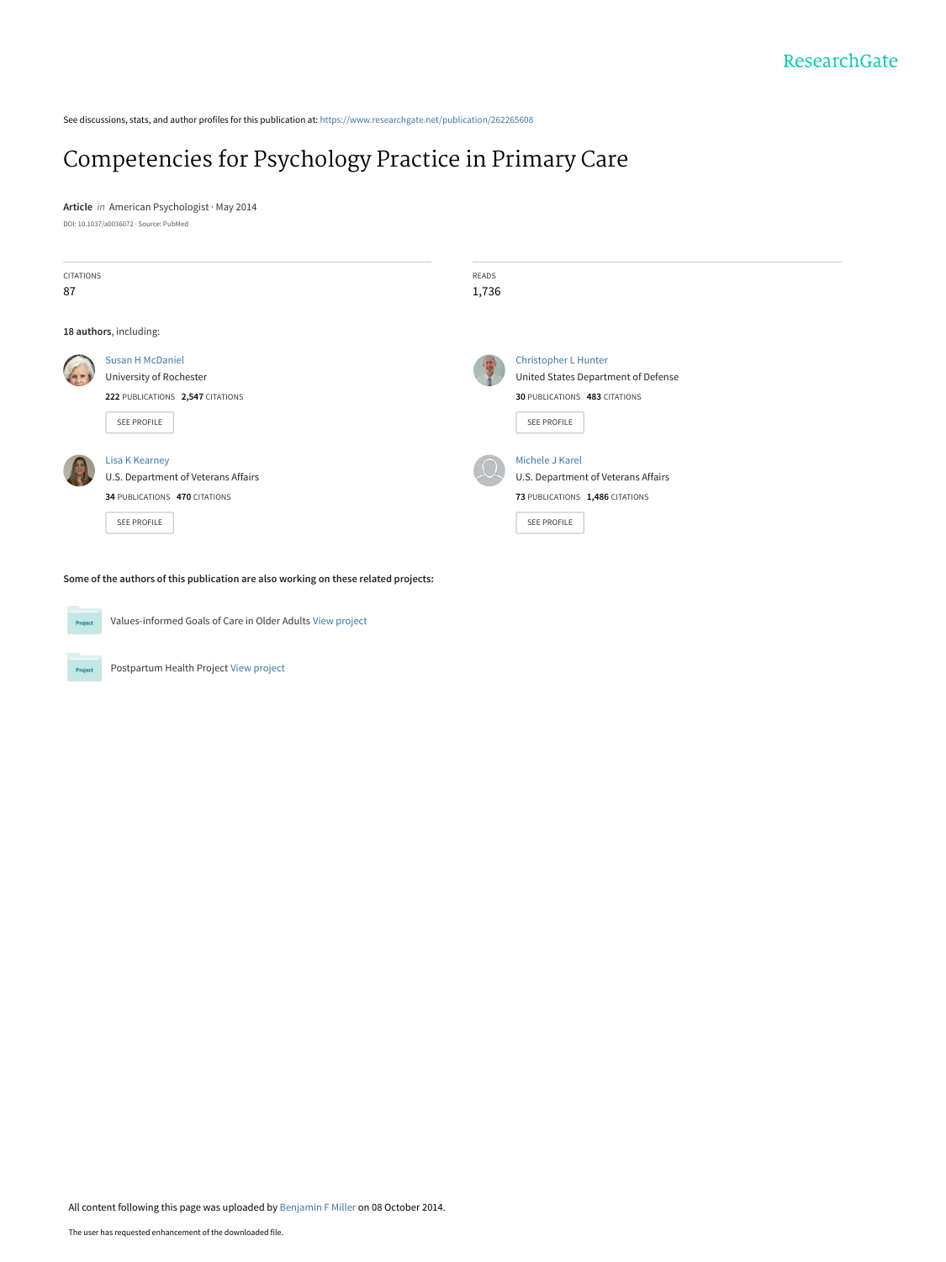See discussions, stats, and author profiles for this publication at: [https://www.researchgate.net/publication/262265608](https://www.researchgate.net/publication/262265608_Competencies_for_Psychology_Practice_in_Primary_Care?enrichId=rgreq-72556170dd9048b6b8a28683fc42c902-XXX&enrichSource=Y292ZXJQYWdlOzI2MjI2NTYwODtBUzoxNTAwOTU1ODg3NjE2MDBAMTQxMjc5Njk4NTc5OQ%3D%3D&el=1_x_2&_esc=publicationCoverPdf)

# [Competencies for Psychology Practice in Primary Care](https://www.researchgate.net/publication/262265608_Competencies_for_Psychology_Practice_in_Primary_Care?enrichId=rgreq-72556170dd9048b6b8a28683fc42c902-XXX&enrichSource=Y292ZXJQYWdlOzI2MjI2NTYwODtBUzoxNTAwOTU1ODg3NjE2MDBAMTQxMjc5Njk4NTc5OQ%3D%3D&el=1_x_3&_esc=publicationCoverPdf)

**Article** in American Psychologist · May 2014 DOI: 10.1037/a0036072 · Source: PubMed



**Some of the authors of this publication are also working on these related projects:**

Values-informed Goals of Care in Older Adults [View project](https://www.researchgate.net/project/Values-informed-Goals-of-Care-in-Older-Adults?enrichId=rgreq-72556170dd9048b6b8a28683fc42c902-XXX&enrichSource=Y292ZXJQYWdlOzI2MjI2NTYwODtBUzoxNTAwOTU1ODg3NjE2MDBAMTQxMjc5Njk4NTc5OQ%3D%3D&el=1_x_9&_esc=publicationCoverPdf) Pro

Postpartum Health Project [View project](https://www.researchgate.net/project/Postpartum-Health-Project?enrichId=rgreq-72556170dd9048b6b8a28683fc42c902-XXX&enrichSource=Y292ZXJQYWdlOzI2MjI2NTYwODtBUzoxNTAwOTU1ODg3NjE2MDBAMTQxMjc5Njk4NTc5OQ%3D%3D&el=1_x_9&_esc=publicationCoverPdf)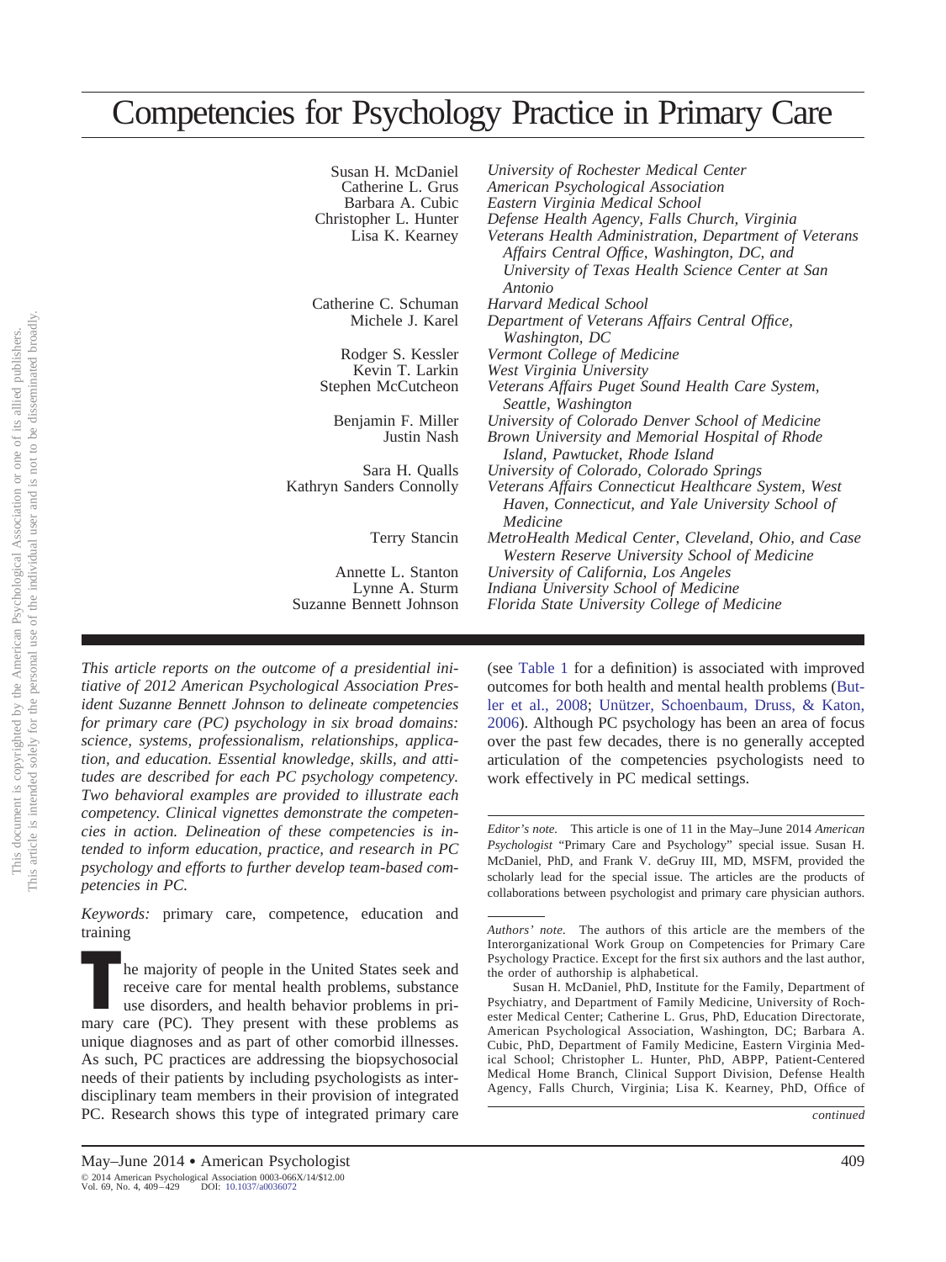# Competencies for Psychology Practice in Primary Care

| Susan H. McDaniel        | University of Rochester Medical Center                                                                                                                    |
|--------------------------|-----------------------------------------------------------------------------------------------------------------------------------------------------------|
| Catherine L. Grus        | American Psychological Association                                                                                                                        |
| Barbara A. Cubic         | Eastern Virginia Medical School                                                                                                                           |
| Christopher L. Hunter    | Defense Health Agency, Falls Church, Virginia                                                                                                             |
| Lisa K. Kearney          | Veterans Health Administration, Department of Veterans<br>Affairs Central Office, Washington, DC, and<br>University of Texas Health Science Center at San |
|                          | Antonio                                                                                                                                                   |
| Catherine C. Schuman     | <b>Harvard Medical School</b>                                                                                                                             |
| Michele J. Karel         | Department of Veterans Affairs Central Office,<br>Washington, DC                                                                                          |
| Rodger S. Kessler        | Vermont College of Medicine                                                                                                                               |
| Kevin T. Larkin          | West Virginia University                                                                                                                                  |
| Stephen McCutcheon       | Veterans Affairs Puget Sound Health Care System,<br>Seattle, Washington                                                                                   |
| Benjamin F. Miller       | University of Colorado Denver School of Medicine                                                                                                          |
| Justin Nash              | Brown University and Memorial Hospital of Rhode<br>Island, Pawtucket, Rhode Island                                                                        |
| Sara H. Qualls           | University of Colorado, Colorado Springs                                                                                                                  |
| Kathryn Sanders Connolly | Veterans Affairs Connecticut Healthcare System, West<br>Haven, Connecticut, and Yale University School of<br>Medicine                                     |
| Terry Stancin            | MetroHealth Medical Center, Cleveland, Ohio, and Case<br>Western Reserve University School of Medicine                                                    |
| Annette L. Stanton       |                                                                                                                                                           |
| Lynne A. Sturm           | University of California, Los Angeles<br>Indiana University School of Medicine                                                                            |
| Suzanne Bennett Johnson  |                                                                                                                                                           |
|                          | Florida State University College of Medicine                                                                                                              |

*This article reports on the outcome of a presidential initiative of 2012 American Psychological Association President Suzanne Bennett Johnson to delineate competencies for primary care (PC) psychology in six broad domains: science, systems, professionalism, relationships, application, and education. Essential knowledge, skills, and attitudes are described for each PC psychology competency. Two behavioral examples are provided to illustrate each competency. Clinical vignettes demonstrate the competencies in action. Delineation of these competencies is intended to inform education, practice, and research in PC psychology and efforts to further develop team-based competencies in PC.*

*Keywords:* primary care, competence, education and training

**T**he majority of people in the United States seek and receive care for mental health problems, substance use disorders, and health behavior problems in primary care (PC). They present with these problems as unique diagnoses and as part of other comorbid illnesses. As such, PC practices are addressing the biopsychosocial needs of their patients by including psychologists as interdisciplinary team members in their provision of integrated PC. Research shows this type of integrated primary care

(see [Table 1](#page-3-0) for a definition) is associated with improved outcomes for both health and mental health problems [\(But](#page-19-0)[ler et al., 2008;](#page-19-0) [Unützer, Schoenbaum, Druss, & Katon,](#page-21-0) [2006\)](#page-21-0). Although PC psychology has been an area of focus over the past few decades, there is no generally accepted articulation of the competencies psychologists need to work effectively in PC medical settings.

*Editor's note.* This article is one of 11 in the May–June 2014 *American Psychologist* "Primary Care and Psychology" special issue. Susan H. McDaniel, PhD, and Frank V. deGruy III, MD, MSFM, provided the scholarly lead for the special issue. The articles are the products of collaborations between psychologist and primary care physician authors.

*Authors' note.* The authors of this article are the members of the Interorganizational Work Group on Competencies for Primary Care Psychology Practice. Except for the first six authors and the last author, the order of authorship is alphabetical.

Susan H. McDaniel, PhD, Institute for the Family, Department of Psychiatry, and Department of Family Medicine, University of Rochester Medical Center; Catherine L. Grus, PhD, Education Directorate, American Psychological Association, Washington, DC; Barbara A. Cubic, PhD, Department of Family Medicine, Eastern Virginia Medical School; Christopher L. Hunter, PhD, ABPP, Patient-Centered Medical Home Branch, Clinical Support Division, Defense Health Agency, Falls Church, Virginia; Lisa K. Kearney, PhD, Office of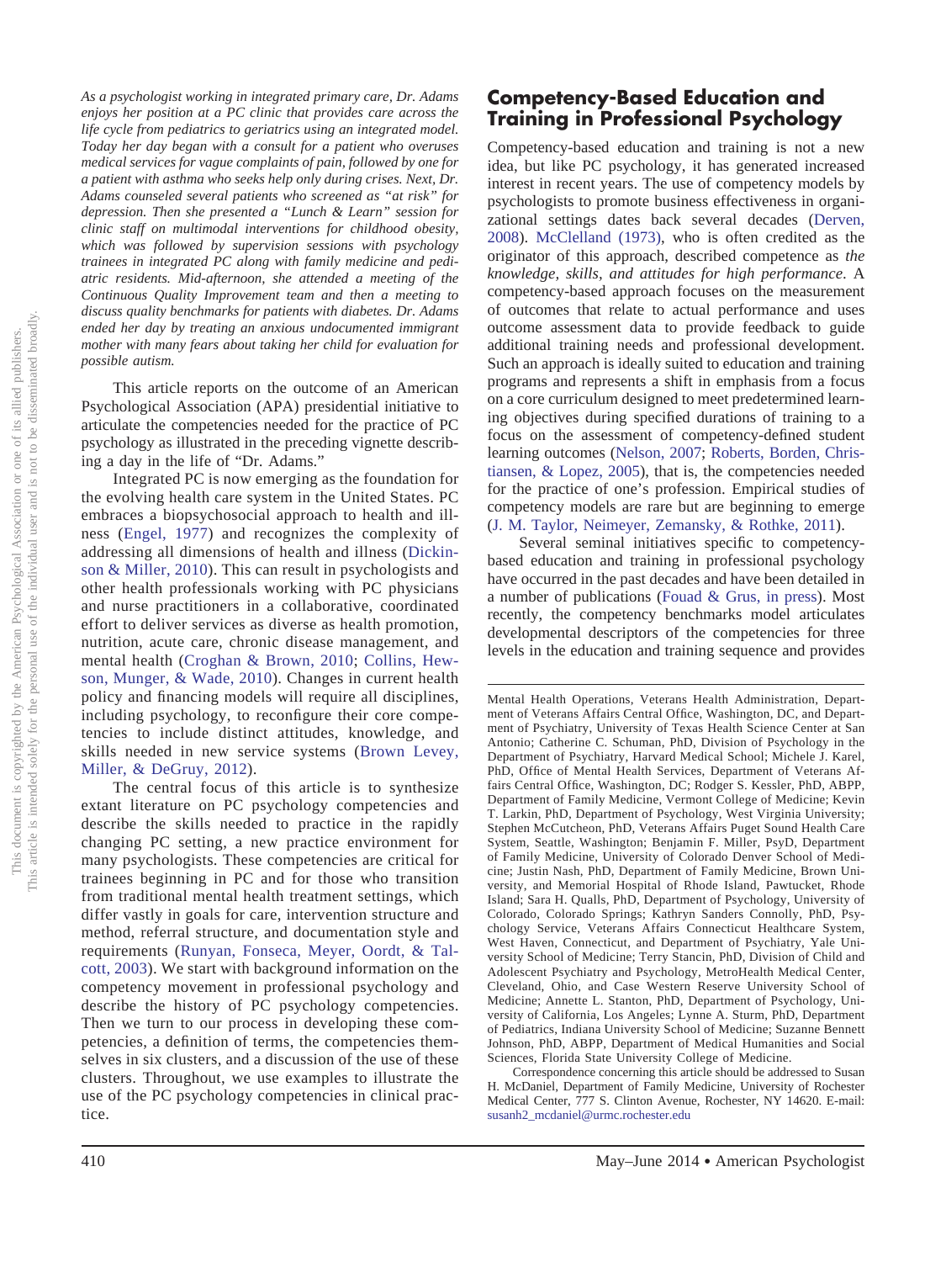*As a psychologist working in integrated primary care, Dr. Adams enjoys her position at a PC clinic that provides care across the life cycle from pediatrics to geriatrics using an integrated model. Today her day began with a consult for a patient who overuses medical services for vague complaints of pain, followed by one for a patient with asthma who seeks help only during crises. Next, Dr. Adams counseled several patients who screened as "at risk" for depression. Then she presented a "Lunch & Learn" session for clinic staff on multimodal interventions for childhood obesity, which was followed by supervision sessions with psychology trainees in integrated PC along with family medicine and pediatric residents. Mid-afternoon, she attended a meeting of the Continuous Quality Improvement team and then a meeting to discuss quality benchmarks for patients with diabetes. Dr. Adams ended her day by treating an anxious undocumented immigrant mother with many fears about taking her child for evaluation for possible autism.*

This article reports on the outcome of an American Psychological Association (APA) presidential initiative to articulate the competencies needed for the practice of PC psychology as illustrated in the preceding vignette describing a day in the life of "Dr. Adams."

Integrated PC is now emerging as the foundation for the evolving health care system in the United States. PC embraces a biopsychosocial approach to health and illness [\(Engel, 1977\)](#page-20-0) and recognizes the complexity of addressing all dimensions of health and illness [\(Dickin](#page-20-1)[son & Miller, 2010\)](#page-20-1). This can result in psychologists and other health professionals working with PC physicians and nurse practitioners in a collaborative, coordinated effort to deliver services as diverse as health promotion, nutrition, acute care, chronic disease management, and mental health [\(Croghan & Brown, 2010;](#page-20-2) [Collins, Hew](#page-20-3)[son, Munger, & Wade, 2010\)](#page-20-3). Changes in current health policy and financing models will require all disciplines, including psychology, to reconfigure their core competencies to include distinct attitudes, knowledge, and skills needed in new service systems [\(Brown Levey,](#page-19-1) [Miller, & DeGruy, 2012\)](#page-19-1).

The central focus of this article is to synthesize extant literature on PC psychology competencies and describe the skills needed to practice in the rapidly changing PC setting, a new practice environment for many psychologists. These competencies are critical for trainees beginning in PC and for those who transition from traditional mental health treatment settings, which differ vastly in goals for care, intervention structure and method, referral structure, and documentation style and requirements [\(Runyan, Fonseca, Meyer, Oordt, & Tal](#page-21-1)[cott, 2003\)](#page-21-1). We start with background information on the competency movement in professional psychology and describe the history of PC psychology competencies. Then we turn to our process in developing these competencies, a definition of terms, the competencies themselves in six clusters, and a discussion of the use of these clusters. Throughout, we use examples to illustrate the use of the PC psychology competencies in clinical practice.

# **Competency-Based Education and Training in Professional Psychology**

Competency-based education and training is not a new idea, but like PC psychology, it has generated increased interest in recent years. The use of competency models by psychologists to promote business effectiveness in organizational settings dates back several decades [\(Derven,](#page-20-4) [2008\)](#page-20-4). [McClelland \(1973\),](#page-20-5) who is often credited as the originator of this approach, described competence as *the knowledge, skills, and attitudes for high performance*. A competency-based approach focuses on the measurement of outcomes that relate to actual performance and uses outcome assessment data to provide feedback to guide additional training needs and professional development. Such an approach is ideally suited to education and training programs and represents a shift in emphasis from a focus on a core curriculum designed to meet predetermined learning objectives during specified durations of training to a focus on the assessment of competency-defined student learning outcomes [\(Nelson, 2007;](#page-20-6) [Roberts, Borden, Chris](#page-21-2)[tiansen, & Lopez, 2005\)](#page-21-2), that is, the competencies needed for the practice of one's profession. Empirical studies of competency models are rare but are beginning to emerge [\(J. M. Taylor, Neimeyer, Zemansky, & Rothke, 2011\)](#page-21-3).

Several seminal initiatives specific to competencybased education and training in professional psychology have occurred in the past decades and have been detailed in a number of publications [\(Fouad & Grus, in press\)](#page-20-7). Most recently, the competency benchmarks model articulates developmental descriptors of the competencies for three levels in the education and training sequence and provides

Correspondence concerning this article should be addressed to Susan H. McDaniel, Department of Family Medicine, University of Rochester Medical Center, 777 S. Clinton Avenue, Rochester, NY 14620. E-mail: [susanh2\\_mcdaniel@urmc.rochester.edu](mailto:susanh2_mcdaniel@urmc.rochester.edu)

Mental Health Operations, Veterans Health Administration, Department of Veterans Affairs Central Office, Washington, DC, and Department of Psychiatry, University of Texas Health Science Center at San Antonio; Catherine C. Schuman, PhD, Division of Psychology in the Department of Psychiatry, Harvard Medical School; Michele J. Karel, PhD, Office of Mental Health Services, Department of Veterans Affairs Central Office, Washington, DC; Rodger S. Kessler, PhD, ABPP, Department of Family Medicine, Vermont College of Medicine; Kevin T. Larkin, PhD, Department of Psychology, West Virginia University; Stephen McCutcheon, PhD, Veterans Affairs Puget Sound Health Care System, Seattle, Washington; Benjamin F. Miller, PsyD, Department of Family Medicine, University of Colorado Denver School of Medicine; Justin Nash, PhD, Department of Family Medicine, Brown University, and Memorial Hospital of Rhode Island, Pawtucket, Rhode Island; Sara H. Qualls, PhD, Department of Psychology, University of Colorado, Colorado Springs; Kathryn Sanders Connolly, PhD, Psychology Service, Veterans Affairs Connecticut Healthcare System, West Haven, Connecticut, and Department of Psychiatry, Yale University School of Medicine; Terry Stancin, PhD, Division of Child and Adolescent Psychiatry and Psychology, MetroHealth Medical Center, Cleveland, Ohio, and Case Western Reserve University School of Medicine; Annette L. Stanton, PhD, Department of Psychology, University of California, Los Angeles; Lynne A. Sturm, PhD, Department of Pediatrics, Indiana University School of Medicine; Suzanne Bennett Johnson, PhD, ABPP, Department of Medical Humanities and Social Sciences, Florida State University College of Medicine.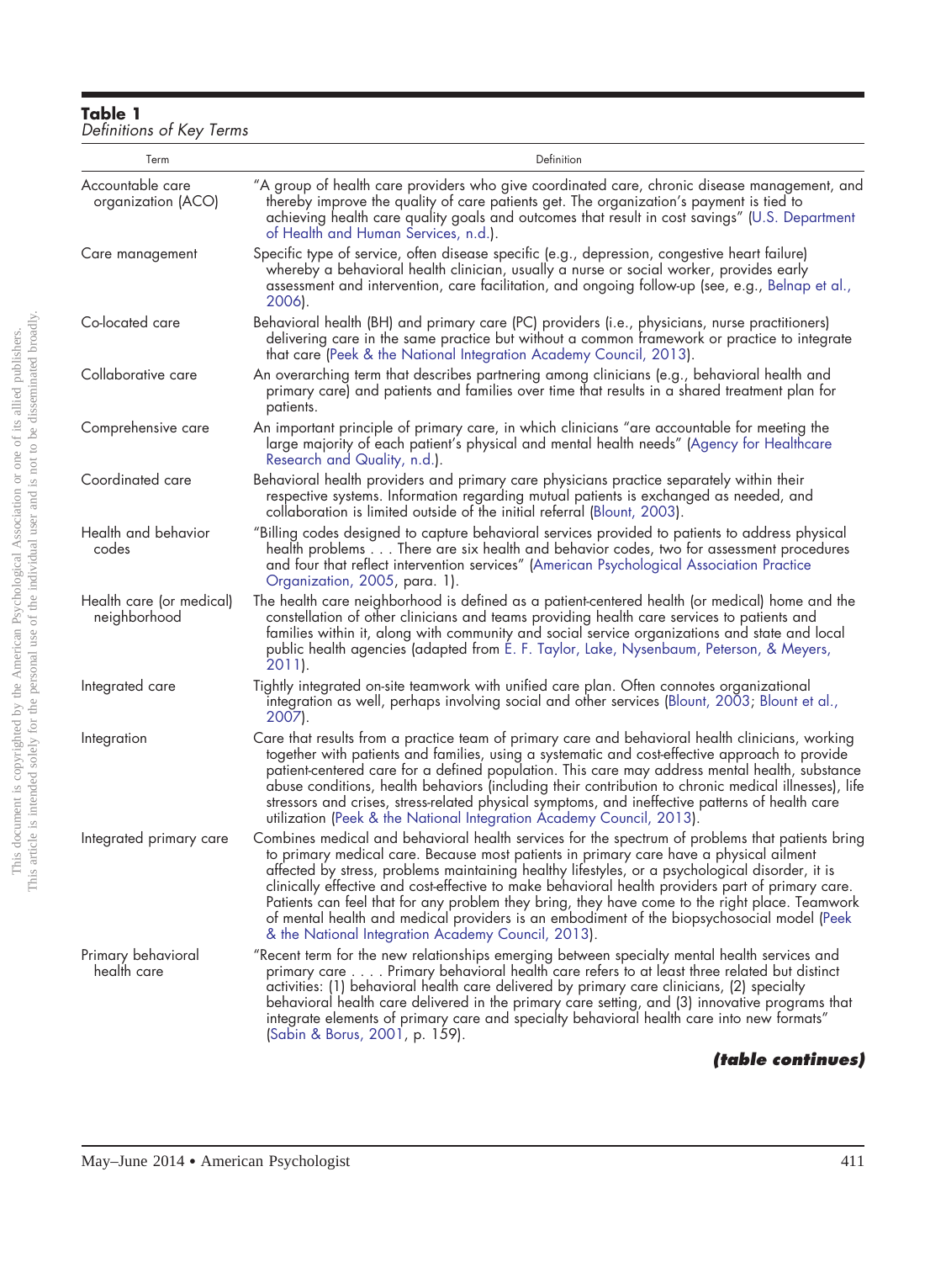#### <span id="page-3-0"></span>**Table 1** *Definitions of Key Terms*

| Deminions or Ney Terms                   |                                                                                                                                                                                                                                                                                                                                                                                                                                                                                                                                                                                                                                                          |
|------------------------------------------|----------------------------------------------------------------------------------------------------------------------------------------------------------------------------------------------------------------------------------------------------------------------------------------------------------------------------------------------------------------------------------------------------------------------------------------------------------------------------------------------------------------------------------------------------------------------------------------------------------------------------------------------------------|
| Term                                     | Definition                                                                                                                                                                                                                                                                                                                                                                                                                                                                                                                                                                                                                                               |
| Accountable care<br>organization (ACO)   | "A group of health care providers who give coordinated care, chronic disease management, and<br>thereby improve the quality of care patients get. The organization's payment is tied to<br>achieving health care quality goals and outcomes that result in cost savings" (U.S. Department<br>of Health and Human Services, n.d.).                                                                                                                                                                                                                                                                                                                        |
| Care management                          | Specific type of service, often disease specific (e.g., depression, congestive heart failure)<br>whereby a behavioral health clinician, usually a nurse or social worker, provides early<br>assessment and intervention, care facilitation, and ongoing follow-up (see, e.g., Belnap et al.,<br>2006).                                                                                                                                                                                                                                                                                                                                                   |
| Co-located care                          | Behavioral health (BH) and primary care (PC) providers (i.e., physicians, nurse practitioners)<br>delivering care in the same practice but without a common framework or practice to integrate<br>that care (Peek & the National Integration Academy Council, 2013).                                                                                                                                                                                                                                                                                                                                                                                     |
| Collaborative care                       | An overarching term that describes partnering among clinicians (e.g., behavioral health and<br>primary care) and patients and families over time that results in a shared treatment plan for<br>patients.                                                                                                                                                                                                                                                                                                                                                                                                                                                |
| Comprehensive care                       | An important principle of primary care, in which clinicians "are accountable for meeting the<br>large majority of each patient's physical and mental health needs" (Agency for Healthcare<br>Research and Quality, n.d.).                                                                                                                                                                                                                                                                                                                                                                                                                                |
| Coordinated care                         | Behavioral health providers and primary care physicians practice separately within their<br>respective systems. Information regarding mutual patients is exchanged as needed, and<br>collaboration is limited outside of the initial referral (Blount, 2003).                                                                                                                                                                                                                                                                                                                                                                                            |
| Health and behavior<br>codes             | "Billing codes designed to capture behavioral services provided to patients to address physical<br>health problems There are six health and behavior codes, two for assessment procedures<br>and four that reflect intervention services" (American Psychological Association Practice<br>Organization, 2005, para. 1).                                                                                                                                                                                                                                                                                                                                  |
| Health care (or medical)<br>neighborhood | The health care neighborhood is defined as a patient-centered health (or medical) home and the<br>constellation of other clinicians and teams providing health care services to patients and<br>families within it, along with community and social service organizations and state and local<br>public health agencies (adapted from E. F. Taylor, Lake, Nysenbaum, Peterson, & Meyers,<br>$2011$ .                                                                                                                                                                                                                                                     |
| Integrated care                          | Tightly integrated on-site teamwork with unified care plan. Often connotes organizational<br>integration as well, perhaps involving social and other services (Blount, 2003; Blount et al.,<br>2007).                                                                                                                                                                                                                                                                                                                                                                                                                                                    |
| Integration                              | Care that results from a practice team of primary care and behavioral health clinicians, working<br>together with patients and families, using a systematic and cost-effective approach to provide<br>patient-centered care for a defined population. This care may address mental health, substance<br>abuse conditions, health behaviors (including their contribution to chronic medical illnesses), life<br>stressors and crises, stress-related physical symptoms, and ineffective patterns of health care<br>utilization (Peek & the National Integration Academy Council, 2013).                                                                  |
| Integrated primary care                  | Combines medical and behavioral health services for the spectrum of problems that patients bring<br>to primary medical care. Because most patients in primary care have a physical ailment<br>affected by stress, problems maintaining healthy lifestyles, or a psychological disorder, it is<br>clinically effective and cost-effective to make behavioral health providers part of primary care.<br>Patients can feel that for any problem they bring, they have come to the right place. Teamwork<br>of mental health and medical providers is an embodiment of the biopsychosocial model (Peek<br>& the National Integration Academy Council, 2013). |
| Primary behavioral<br>health care        | "Recent term for the new relationships emerging between specialty mental health services and<br>primary care Primary behavioral health care refers to at least three related but distinct<br>activities: (1) behavioral health care delivered by primary care clinicians, (2) specialty<br>behavioral health care delivered in the primary care setting, and (3) innovative programs that<br>integrate elements of primary care and specialty behavioral health care into new formats"<br>(Sabin & Borus, 2001, p. 159).                                                                                                                                 |

# *(table continues)*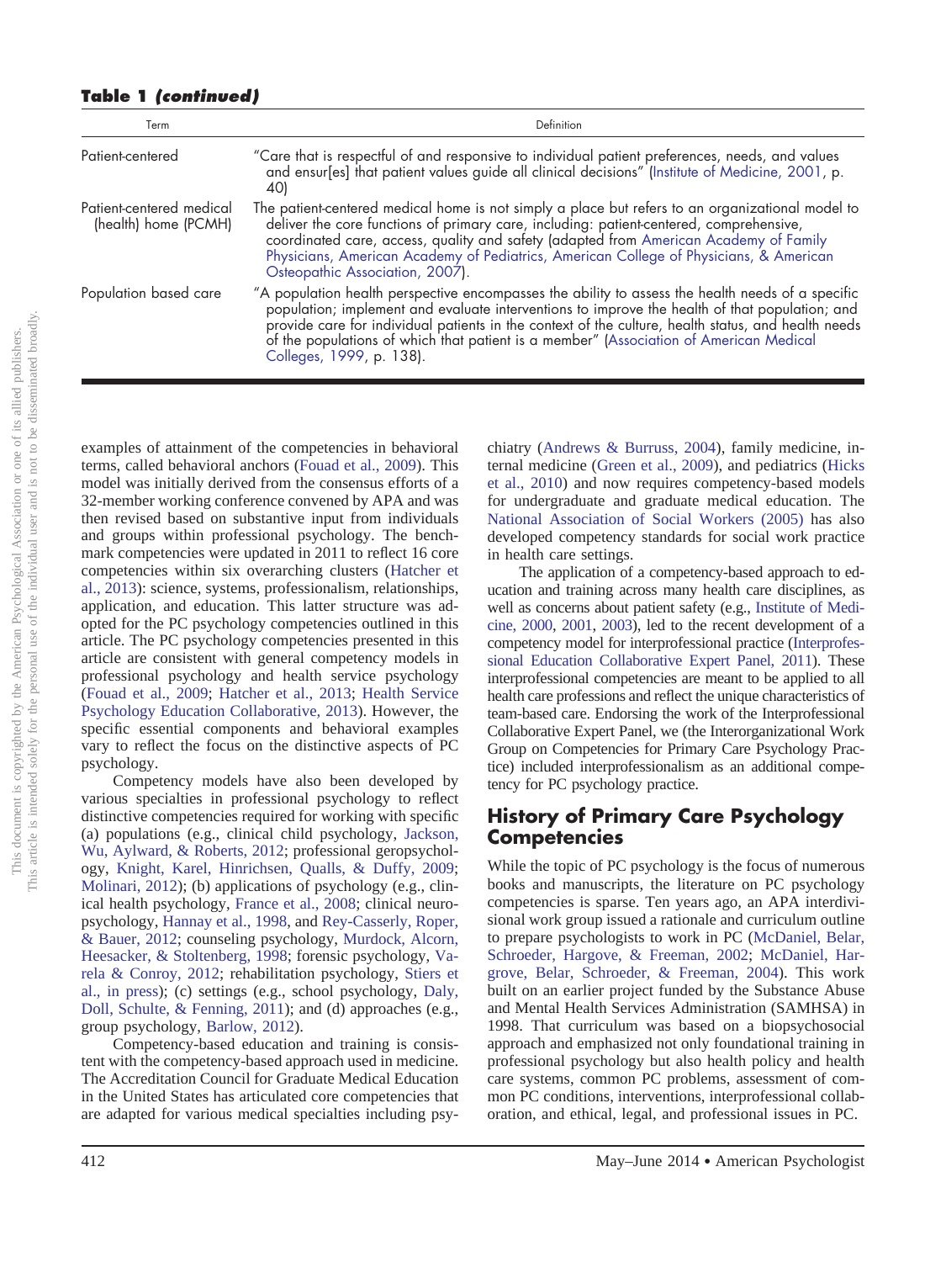| Term                                             | Definition                                                                                                                                                                                                                                                                                                                                                                                                                       |
|--------------------------------------------------|----------------------------------------------------------------------------------------------------------------------------------------------------------------------------------------------------------------------------------------------------------------------------------------------------------------------------------------------------------------------------------------------------------------------------------|
| Patient-centered                                 | "Care that is respectful of and responsive to individual patient preferences, needs, and values<br>and ensurfest that patient values guide all clinical decisions" (Institute of Medicine, 2001, p.<br>40)                                                                                                                                                                                                                       |
| Patient-centered medical<br>(health) home (PCMH) | The patient-centered medical home is not simply a place but refers to an organizational model to<br>deliver the core functions of primary care, including: patient-centered, comprehensive,<br>coordinated care, access, quality and safety (adapted from American Academy of Family<br>Physicians, American Academy of Pediatrics, American College of Physicians, & American<br>Osteopathic Association, 2007).                |
| Population based care                            | "A population health perspective encompasses the ability to assess the health needs of a specific<br>population; implement and evaluate interventions to improve the health of that population; and<br>provide care for individual patients in the context of the culture, health status, and health needs<br>of the populations of which that patient is a member" (Association of American Medical<br>Colleges, 1999, p. 138). |

examples of attainment of the competencies in behavioral terms, called behavioral anchors [\(Fouad et al., 2009\)](#page-20-8). This model was initially derived from the consensus efforts of a 32-member working conference convened by APA and was then revised based on substantive input from individuals and groups within professional psychology. The benchmark competencies were updated in 2011 to reflect 16 core competencies within six overarching clusters [\(Hatcher et](#page-20-9) [al., 2013\)](#page-20-9): science, systems, professionalism, relationships, application, and education. This latter structure was adopted for the PC psychology competencies outlined in this article. The PC psychology competencies presented in this article are consistent with general competency models in professional psychology and health service psychology [\(Fouad et al., 2009;](#page-20-8) [Hatcher et al., 2013;](#page-20-9) [Health Service](#page-20-10) [Psychology Education Collaborative, 2013\)](#page-20-10). However, the specific essential components and behavioral examples vary to reflect the focus on the distinctive aspects of PC psychology.

Competency models have also been developed by various specialties in professional psychology to reflect distinctive competencies required for working with specific (a) populations (e.g., clinical child psychology, [Jackson,](#page-20-11) [Wu, Aylward, & Roberts, 2012;](#page-20-11) professional geropsychology, [Knight, Karel, Hinrichsen, Qualls, & Duffy, 2009;](#page-20-12) [Molinari, 2012\)](#page-20-13); (b) applications of psychology (e.g., clinical health psychology, [France et al., 2008;](#page-20-14) clinical neuropsychology, [Hannay et al., 1998,](#page-20-15) and [Rey-Casserly, Roper,](#page-21-8) [& Bauer, 2012;](#page-21-8) counseling psychology, [Murdock, Alcorn,](#page-20-16) [Heesacker, & Stoltenberg, 1998;](#page-20-16) forensic psychology, [Va](#page-21-9)[rela & Conroy, 2012;](#page-21-9) rehabilitation psychology, [Stiers et](#page-21-10) [al., in press\)](#page-21-10); (c) settings (e.g., school psychology, [Daly,](#page-20-17) [Doll, Schulte, & Fenning, 2011\)](#page-20-17); and (d) approaches (e.g., group psychology, [Barlow, 2012\)](#page-19-7).

Competency-based education and training is consistent with the competency-based approach used in medicine. The Accreditation Council for Graduate Medical Education in the United States has articulated core competencies that are adapted for various medical specialties including psychiatry [\(Andrews & Burruss, 2004\)](#page-19-8), family medicine, internal medicine [\(Green et al., 2009\)](#page-20-18), and pediatrics [\(Hicks](#page-20-19) [et al., 2010\)](#page-20-19) and now requires competency-based models for undergraduate and graduate medical education. The [National Association of Social Workers \(2005\)](#page-20-20) has also developed competency standards for social work practice in health care settings.

The application of a competency-based approach to education and training across many health care disciplines, as well as concerns about patient safety (e.g., [Institute of Medi](#page-20-21)[cine, 2000,](#page-20-21) [2001,](#page-20-22) [2003\)](#page-20-23), led to the recent development of a competency model for interprofessional practice [\(Interprofes](#page-20-24)[sional Education Collaborative Expert Panel, 2011\)](#page-20-24). These interprofessional competencies are meant to be applied to all health care professions and reflect the unique characteristics of team-based care. Endorsing the work of the Interprofessional Collaborative Expert Panel, we (the Interorganizational Work Group on Competencies for Primary Care Psychology Practice) included interprofessionalism as an additional competency for PC psychology practice.

### **History of Primary Care Psychology Competencies**

While the topic of PC psychology is the focus of numerous books and manuscripts, the literature on PC psychology competencies is sparse. Ten years ago, an APA interdivisional work group issued a rationale and curriculum outline to prepare psychologists to work in PC [\(McDaniel, Belar,](#page-20-25) [Schroeder, Hargove, & Freeman, 2002;](#page-20-25) [McDaniel, Har](#page-20-26)[grove, Belar, Schroeder, & Freeman, 2004\)](#page-20-26). This work built on an earlier project funded by the Substance Abuse and Mental Health Services Administration (SAMHSA) in 1998. That curriculum was based on a biopsychosocial approach and emphasized not only foundational training in professional psychology but also health policy and health care systems, common PC problems, assessment of common PC conditions, interventions, interprofessional collaboration, and ethical, legal, and professional issues in PC.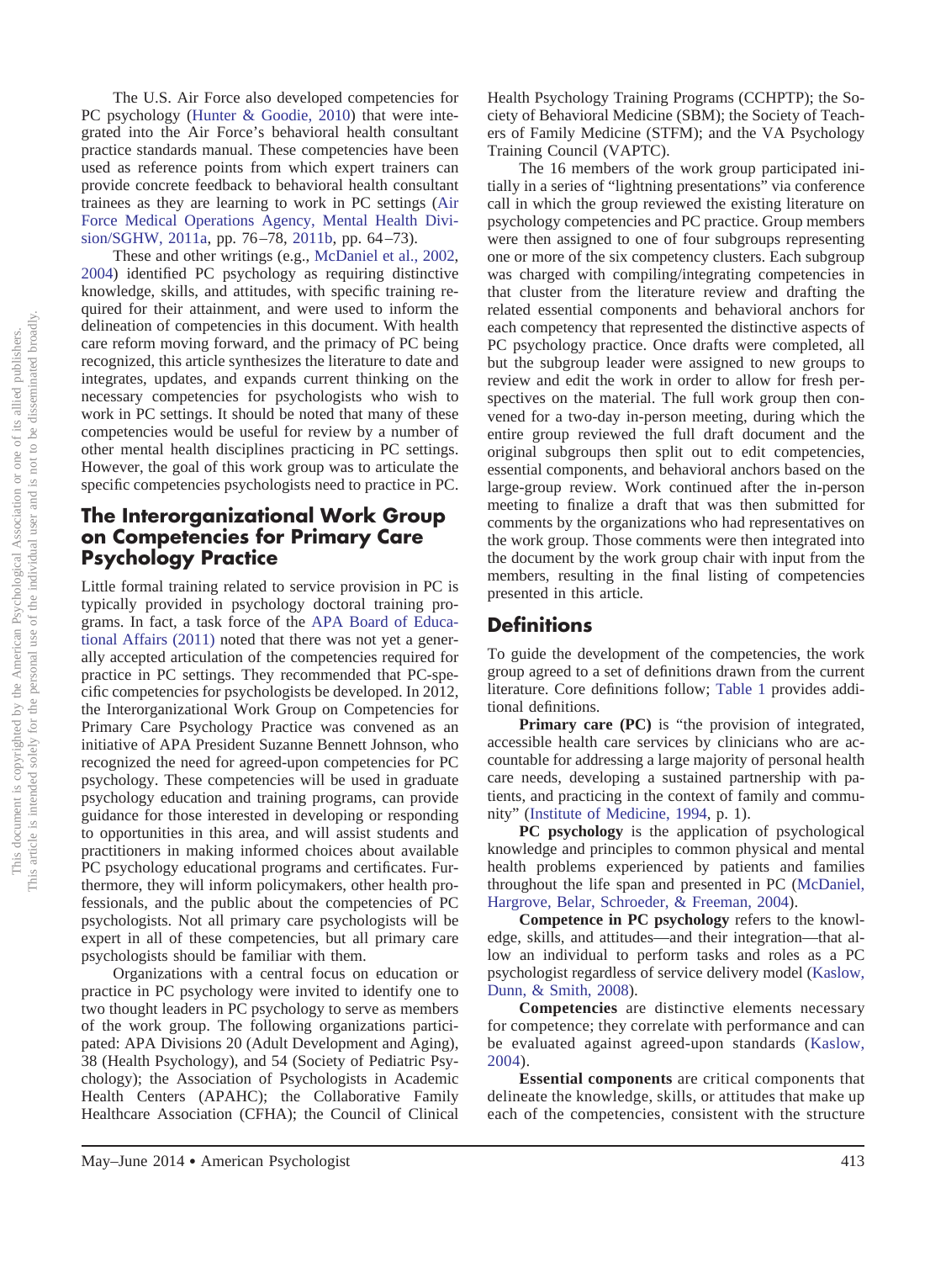This article is intended solely for the personal use of the individual user and is not to be disseminated broadly. This document is copyrighted by the American Psychological Association or one of its allied publishers.<br>This article is intended solely for the personal use of the individual user and is not to be disseminated broadly This document is copyrighted by the American Psychological Association or one of its allied publishers.

The U.S. Air Force also developed competencies for PC psychology [\(Hunter & Goodie, 2010\)](#page-20-27) that were integrated into the Air Force's behavioral health consultant practice standards manual. These competencies have been used as reference points from which expert trainers can provide concrete feedback to behavioral health consultant trainees as they are learning to work in PC settings [\(Air](#page-19-11) [Force Medical Operations Agency, Mental Health Divi](#page-19-11)[sion/SGHW, 2011a,](#page-19-11) pp. 76–78, [2011b,](#page-19-12) pp. 64–73).

These and other writings (e.g., [McDaniel et al., 2002,](#page-20-25) [2004\)](#page-20-26) identified PC psychology as requiring distinctive knowledge, skills, and attitudes, with specific training required for their attainment, and were used to inform the delineation of competencies in this document. With health care reform moving forward, and the primacy of PC being recognized, this article synthesizes the literature to date and integrates, updates, and expands current thinking on the necessary competencies for psychologists who wish to work in PC settings. It should be noted that many of these competencies would be useful for review by a number of other mental health disciplines practicing in PC settings. However, the goal of this work group was to articulate the specific competencies psychologists need to practice in PC.

### **The Interorganizational Work Group on Competencies for Primary Care Psychology Practice**

Little formal training related to service provision in PC is typically provided in psychology doctoral training programs. In fact, a task force of the [APA Board of Educa](#page-19-13)[tional Affairs \(2011\)](#page-19-13) noted that there was not yet a generally accepted articulation of the competencies required for practice in PC settings. They recommended that PC-specific competencies for psychologists be developed. In 2012, the Interorganizational Work Group on Competencies for Primary Care Psychology Practice was convened as an initiative of APA President Suzanne Bennett Johnson, who recognized the need for agreed-upon competencies for PC psychology. These competencies will be used in graduate psychology education and training programs, can provide guidance for those interested in developing or responding to opportunities in this area, and will assist students and practitioners in making informed choices about available PC psychology educational programs and certificates. Furthermore, they will inform policymakers, other health professionals, and the public about the competencies of PC psychologists. Not all primary care psychologists will be expert in all of these competencies, but all primary care psychologists should be familiar with them.

Organizations with a central focus on education or practice in PC psychology were invited to identify one to two thought leaders in PC psychology to serve as members of the work group. The following organizations participated: APA Divisions 20 (Adult Development and Aging), 38 (Health Psychology), and 54 (Society of Pediatric Psychology); the Association of Psychologists in Academic Health Centers (APAHC); the Collaborative Family Healthcare Association (CFHA); the Council of Clinical

Health Psychology Training Programs (CCHPTP); the Society of Behavioral Medicine (SBM); the Society of Teachers of Family Medicine (STFM); and the VA Psychology Training Council (VAPTC).

The 16 members of the work group participated initially in a series of "lightning presentations" via conference call in which the group reviewed the existing literature on psychology competencies and PC practice. Group members were then assigned to one of four subgroups representing one or more of the six competency clusters. Each subgroup was charged with compiling/integrating competencies in that cluster from the literature review and drafting the related essential components and behavioral anchors for each competency that represented the distinctive aspects of PC psychology practice. Once drafts were completed, all but the subgroup leader were assigned to new groups to review and edit the work in order to allow for fresh perspectives on the material. The full work group then convened for a two-day in-person meeting, during which the entire group reviewed the full draft document and the original subgroups then split out to edit competencies, essential components, and behavioral anchors based on the large-group review. Work continued after the in-person meeting to finalize a draft that was then submitted for comments by the organizations who had representatives on the work group. Those comments were then integrated into the document by the work group chair with input from the members, resulting in the final listing of competencies presented in this article.

### **Definitions**

To guide the development of the competencies, the work group agreed to a set of definitions drawn from the current literature. Core definitions follow; [Table 1](#page-3-0) provides additional definitions.

**Primary care (PC)** is "the provision of integrated, accessible health care services by clinicians who are accountable for addressing a large majority of personal health care needs, developing a sustained partnership with patients, and practicing in the context of family and community" [\(Institute of Medicine, 1994,](#page-20-28) p. 1).

**PC psychology** is the application of psychological knowledge and principles to common physical and mental health problems experienced by patients and families throughout the life span and presented in PC [\(McDaniel,](#page-20-26) [Hargrove, Belar, Schroeder, & Freeman, 2004\)](#page-20-26).

**Competence in PC psychology** refers to the knowledge, skills, and attitudes—and their integration—that allow an individual to perform tasks and roles as a PC psychologist regardless of service delivery model [\(Kaslow,](#page-20-29) [Dunn, & Smith, 2008\)](#page-20-29).

**Competencies** are distinctive elements necessary for competence; they correlate with performance and can be evaluated against agreed-upon standards [\(Kaslow,](#page-20-30) [2004\)](#page-20-30).

**Essential components** are critical components that delineate the knowledge, skills, or attitudes that make up each of the competencies, consistent with the structure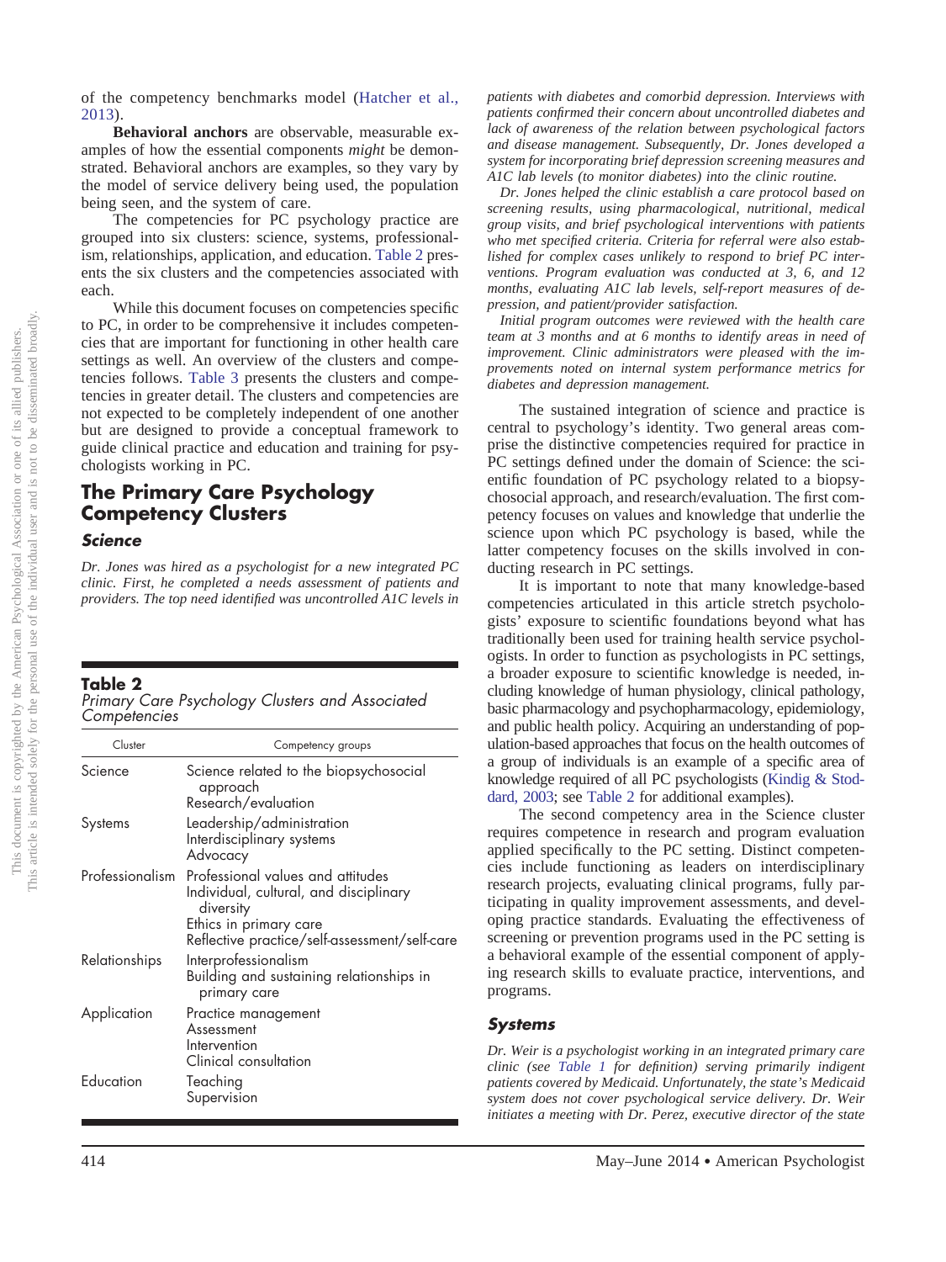of the competency benchmarks model [\(Hatcher et al.,](#page-20-9) [2013\)](#page-20-9).

**Behavioral anchors** are observable, measurable examples of how the essential components *might* be demonstrated. Behavioral anchors are examples, so they vary by the model of service delivery being used, the population being seen, and the system of care.

The competencies for PC psychology practice are grouped into six clusters: science, systems, professionalism, relationships, application, and education. [Table 2](#page-6-0) presents the six clusters and the competencies associated with each.

While this document focuses on competencies specific to PC, in order to be comprehensive it includes competencies that are important for functioning in other health care settings as well. An overview of the clusters and competencies follows. [Table 3](#page-7-0) presents the clusters and competencies in greater detail. The clusters and competencies are not expected to be completely independent of one another but are designed to provide a conceptual framework to guide clinical practice and education and training for psychologists working in PC.

# **The Primary Care Psychology Competency Clusters**

#### *Science*

*Dr. Jones was hired as a psychologist for a new integrated PC clinic. First, he completed a needs assessment of patients and providers. The top need identified was uncontrolled A1C levels in*

## <span id="page-6-0"></span>**Table 2**

| Primary Care Psychology Clusters and Associated |  |  |  |
|-------------------------------------------------|--|--|--|
| Competencies                                    |  |  |  |

| Cluster       | Competency groups                                                                                                                                                                   |
|---------------|-------------------------------------------------------------------------------------------------------------------------------------------------------------------------------------|
| Science       | Science related to the biopsychosocial<br>approach<br>Research/evaluation                                                                                                           |
| Systems       | Leadership/administration<br>Interdisciplinary systems<br>Advocacy                                                                                                                  |
|               | Professionalism Professional values and attitudes<br>Individual, cultural, and disciplinary<br>diversity<br>Ethics in primary care<br>Reflective practice/self-assessment/self-care |
| Relationships | Interprofessionalism<br>Building and sustaining relationships in<br>primary care                                                                                                    |
| Application   | Practice management<br>Assessment<br>Intervention<br>Clinical consultation                                                                                                          |
| Education     | Teaching<br>Supervision                                                                                                                                                             |

*patients with diabetes and comorbid depression. Interviews with patients confirmed their concern about uncontrolled diabetes and lack of awareness of the relation between psychological factors and disease management. Subsequently, Dr. Jones developed a system for incorporating brief depression screening measures and A1C lab levels (to monitor diabetes) into the clinic routine.*

*Dr. Jones helped the clinic establish a care protocol based on screening results, using pharmacological, nutritional, medical group visits, and brief psychological interventions with patients who met specified criteria. Criteria for referral were also established for complex cases unlikely to respond to brief PC interventions. Program evaluation was conducted at 3, 6, and 12 months, evaluating A1C lab levels, self-report measures of depression, and patient/provider satisfaction.*

*Initial program outcomes were reviewed with the health care team at 3 months and at 6 months to identify areas in need of improvement. Clinic administrators were pleased with the improvements noted on internal system performance metrics for diabetes and depression management.*

The sustained integration of science and practice is central to psychology's identity. Two general areas comprise the distinctive competencies required for practice in PC settings defined under the domain of Science: the scientific foundation of PC psychology related to a biopsychosocial approach, and research/evaluation. The first competency focuses on values and knowledge that underlie the science upon which PC psychology is based, while the latter competency focuses on the skills involved in conducting research in PC settings.

It is important to note that many knowledge-based competencies articulated in this article stretch psychologists' exposure to scientific foundations beyond what has traditionally been used for training health service psychologists. In order to function as psychologists in PC settings, a broader exposure to scientific knowledge is needed, including knowledge of human physiology, clinical pathology, basic pharmacology and psychopharmacology, epidemiology, and public health policy. Acquiring an understanding of population-based approaches that focus on the health outcomes of a group of individuals is an example of a specific area of knowledge required of all PC psychologists [\(Kindig & Stod](#page-20-31)[dard, 2003;](#page-20-31) see [Table 2](#page-6-0) for additional examples).

The second competency area in the Science cluster requires competence in research and program evaluation applied specifically to the PC setting. Distinct competencies include functioning as leaders on interdisciplinary research projects, evaluating clinical programs, fully participating in quality improvement assessments, and developing practice standards. Evaluating the effectiveness of screening or prevention programs used in the PC setting is a behavioral example of the essential component of applying research skills to evaluate practice, interventions, and programs.

#### *Systems*

*Dr. Weir is a psychologist working in an integrated primary care clinic (see [Table 1](#page-3-0) for definition) serving primarily indigent patients covered by Medicaid. Unfortunately, the state's Medicaid system does not cover psychological service delivery. Dr. Weir initiates a meeting with Dr. Perez, executive director of the state*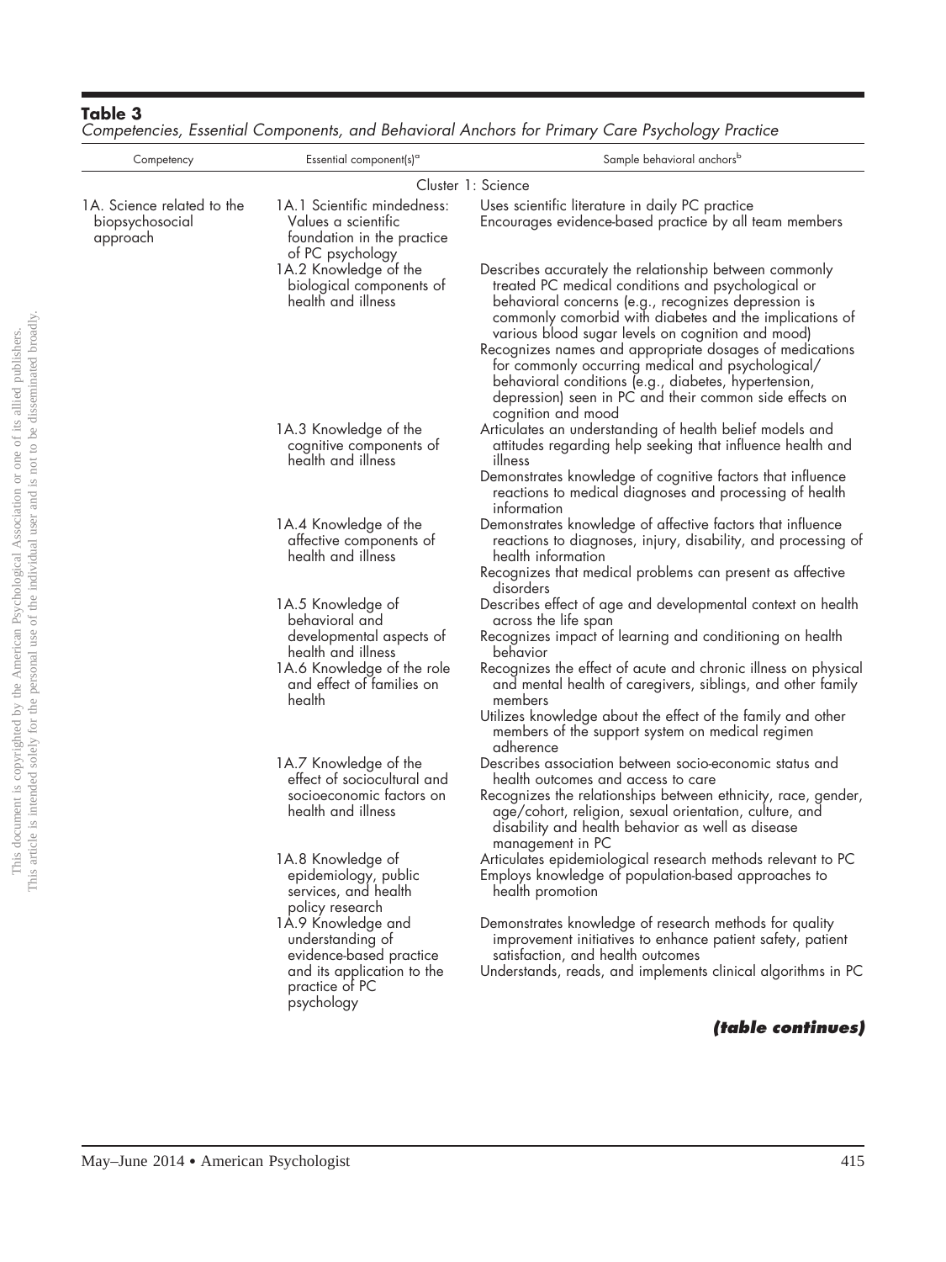<span id="page-7-0"></span>

| Competencies, Essential Components, and Behavioral Anchors for Primary Care Psychology Practice |  |  |  |  |
|-------------------------------------------------------------------------------------------------|--|--|--|--|
|                                                                                                 |  |  |  |  |

| Competency                                                | Essential component(s) <sup>a</sup>                                                                                             | Sample behavioral anchorsb                                                                                                                                                                                                                                                                                                                                                                                                                                                                                                                   |
|-----------------------------------------------------------|---------------------------------------------------------------------------------------------------------------------------------|----------------------------------------------------------------------------------------------------------------------------------------------------------------------------------------------------------------------------------------------------------------------------------------------------------------------------------------------------------------------------------------------------------------------------------------------------------------------------------------------------------------------------------------------|
|                                                           |                                                                                                                                 | Cluster 1: Science                                                                                                                                                                                                                                                                                                                                                                                                                                                                                                                           |
| 1A. Science related to the<br>biopsychosocial<br>approach | 1A.1 Scientific mindedness:<br>Values a scientific<br>foundation in the practice<br>of PC psychology                            | Uses scientific literature in daily PC practice<br>Encourages evidence-based practice by all team members                                                                                                                                                                                                                                                                                                                                                                                                                                    |
|                                                           | 1A.2 Knowledge of the<br>biological components of<br>health and illness                                                         | Describes accurately the relationship between commonly<br>treated PC medical conditions and psychological or<br>behavioral concerns (e.g., recognizes depression is<br>commonly comorbid with diabetes and the implications of<br>various blood sugar levels on cognition and mood)<br>Recognizes names and appropriate dosages of medications<br>for commonly occurring medical and psychological/<br>behavioral conditions (e.g., diabetes, hypertension,<br>depression) seen in PC and their common side effects on<br>cognition and mood |
|                                                           | 1A.3 Knowledge of the<br>cognitive components of<br>health and illness                                                          | Articulates an understanding of health belief models and<br>attitudes regarding help seeking that influence health and<br>illness                                                                                                                                                                                                                                                                                                                                                                                                            |
|                                                           |                                                                                                                                 | Demonstrates knowledge of cognitive factors that influence<br>reactions to medical diagnoses and processing of health<br>information                                                                                                                                                                                                                                                                                                                                                                                                         |
|                                                           | 1A.4 Knowledge of the<br>affective components of<br>health and illness                                                          | Demonstrates knowledge of affective factors that influence<br>reactions to diagnoses, injury, disability, and processing of<br>health information                                                                                                                                                                                                                                                                                                                                                                                            |
|                                                           |                                                                                                                                 | Recognizes that medical problems can present as affective<br>disorders                                                                                                                                                                                                                                                                                                                                                                                                                                                                       |
|                                                           | 1A.5 Knowledge of<br>behavioral and<br>developmental aspects of<br>health and illness                                           | Describes effect of age and developmental context on health<br>across the life span<br>Recognizes impact of learning and conditioning on health<br>behavior                                                                                                                                                                                                                                                                                                                                                                                  |
|                                                           | 1A.6 Knowledge of the role<br>and effect of families on<br>health                                                               | Recognizes the effect of acute and chronic illness on physical<br>and mental health of caregivers, siblings, and other family<br>members                                                                                                                                                                                                                                                                                                                                                                                                     |
|                                                           |                                                                                                                                 | Utilizes knowledge about the effect of the family and other<br>members of the support system on medical regimen<br>adherence                                                                                                                                                                                                                                                                                                                                                                                                                 |
|                                                           | 1A.7 Knowledge of the<br>effect of sociocultural and                                                                            | Describes association between socio-economic status and<br>health outcomes and access to care                                                                                                                                                                                                                                                                                                                                                                                                                                                |
|                                                           | socioeconomic factors on<br>health and illness                                                                                  | Recognizes the relationships between ethnicity, race, gender,<br>age/cohort, religion, sexual orientation, culture, and<br>disability and health behavior as well as disease<br>management in PC                                                                                                                                                                                                                                                                                                                                             |
|                                                           | 1A.8 Knowledge of<br>epidemiology, public<br>services, and health<br>policy research                                            | Articulates epidemiological research methods relevant to PC<br>Employs knowledge of population-based approaches to<br>health promotion                                                                                                                                                                                                                                                                                                                                                                                                       |
|                                                           | 1A.9 Knowledge and<br>understanding of<br>evidence-based practice<br>and its application to the<br>practice of PC<br>psychology | Demonstrates knowledge of research methods for quality<br>improvement initiatives to enhance patient safety, patient<br>satisfaction, and health outcomes<br>Understands, reads, and implements clinical algorithms in PC                                                                                                                                                                                                                                                                                                                    |

*(table continues)*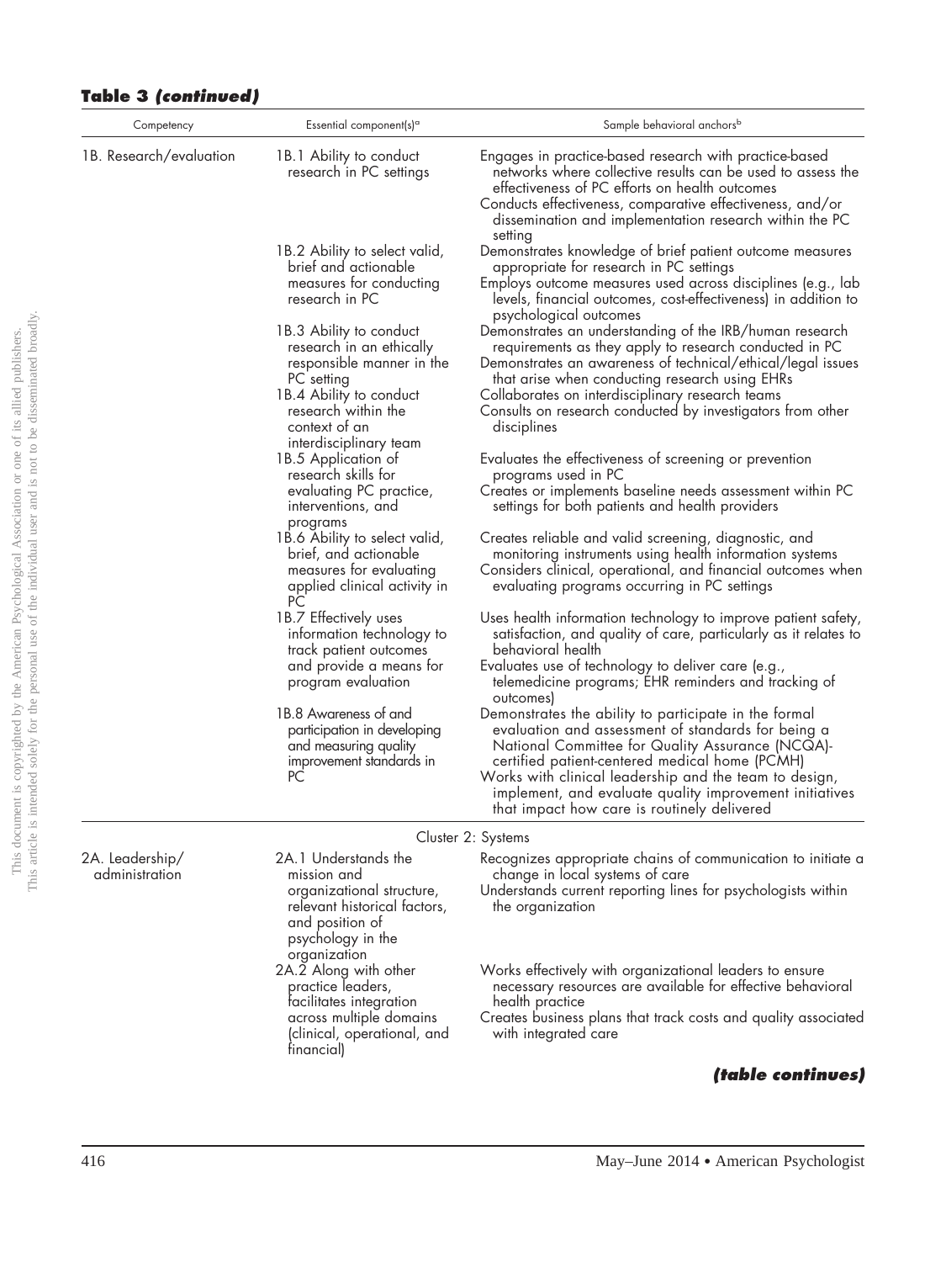| Competency                        | Essential component(s) <sup>a</sup>                                                                                                                               | Sample behavioral anchors <sup>b</sup>                                                                                                                                                                                                                                                                                                                                                             |
|-----------------------------------|-------------------------------------------------------------------------------------------------------------------------------------------------------------------|----------------------------------------------------------------------------------------------------------------------------------------------------------------------------------------------------------------------------------------------------------------------------------------------------------------------------------------------------------------------------------------------------|
| 1B. Research/evaluation           | 1B.1 Ability to conduct<br>research in PC settings                                                                                                                | Engages in practice-based research with practice-based<br>networks where collective results can be used to assess the<br>effectiveness of PC efforts on health outcomes<br>Conducts effectiveness, comparative effectiveness, and/or<br>dissemination and implementation research within the PC                                                                                                    |
|                                   | 1B.2 Ability to select valid,<br>brief and actionable<br>measures for conducting<br>research in PC                                                                | setting<br>Demonstrates knowledge of brief patient outcome measures<br>appropriate for research in PC settings<br>Employs outcome measures used across disciplines (e.g., lab<br>levels, financial outcomes, cost-effectiveness) in addition to                                                                                                                                                    |
|                                   | 1B.3 Ability to conduct<br>research in an ethically<br>responsible manner in the<br>PC setting<br>1B.4 Ability to conduct<br>research within the<br>context of an | psychological outcomes<br>Demonstrates an understanding of the IRB/human research<br>requirements as they apply to research conducted in PC<br>Demonstrates an awareness of technical/ethical/legal issues<br>that arise when conducting research using EHRs<br>Collaborates on interdisciplinary research teams<br>Consults on research conducted by investigators from other<br>disciplines      |
|                                   | interdisciplinary team<br>1B.5 Application of<br>research skills for<br>evaluating PC practice,<br>interventions, and                                             | Evaluates the effectiveness of screening or prevention<br>programs used in PC<br>Creates or implements baseline needs assessment within PC<br>settings for both patients and health providers                                                                                                                                                                                                      |
|                                   | programs<br>1B.6 Ability to select valid,<br>brief, and actionable<br>measures for evaluating<br>applied clinical activity in<br>PС                               | Creates reliable and valid screening, diagnostic, and<br>monitoring instruments using health information systems<br>Considers clinical, operational, and financial outcomes when<br>evaluating programs occurring in PC settings                                                                                                                                                                   |
|                                   | 1B.7 Effectively uses<br>information technology to<br>track patient outcomes<br>and provide a means for<br>program evaluation                                     | Uses health information technology to improve patient safety,<br>satisfaction, and quality of care, particularly as it relates to<br>behavioral health<br>Evaluates use of technology to deliver care (e.g.,<br>telemedicine programs; EHR reminders and tracking of                                                                                                                               |
|                                   | 1B.8 Awareness of and<br>participation in developing<br>and measuring quality<br>improvement standards in<br>PC                                                   | outcomes)<br>Demonstrates the ability to participate in the formal<br>evaluation and assessment of standards for being a<br>National Committee for Quality Assurance (NCQA)-<br>certified patient-centered medical home (PCMH)<br>Works with clinical leadership and the team to design,<br>implement, and evaluate quality improvement initiatives<br>that impact how care is routinely delivered |
|                                   |                                                                                                                                                                   | Cluster 2: Systems                                                                                                                                                                                                                                                                                                                                                                                 |
| 2A. Leadership/<br>administration | 2A.1 Understands the<br>mission and<br>organizational structure,<br>relevant historical factors,<br>and position of<br>psychology in the                          | Recognizes appropriate chains of communication to initiate a<br>change in local systems of care<br>Understands current reporting lines for psychologists within<br>the organization                                                                                                                                                                                                                |
|                                   | organization<br>2A.2 Along with other<br>practice leaders,<br>facilitates integration<br>across multiple domains<br>(clinical, operational, and<br>tinancial)     | Works effectively with organizational leaders to ensure<br>necessary resources are available for effective behavioral<br>health practice<br>Creates business plans that track costs and quality associated<br>with integrated care                                                                                                                                                                 |
|                                   |                                                                                                                                                                   | (table continues)                                                                                                                                                                                                                                                                                                                                                                                  |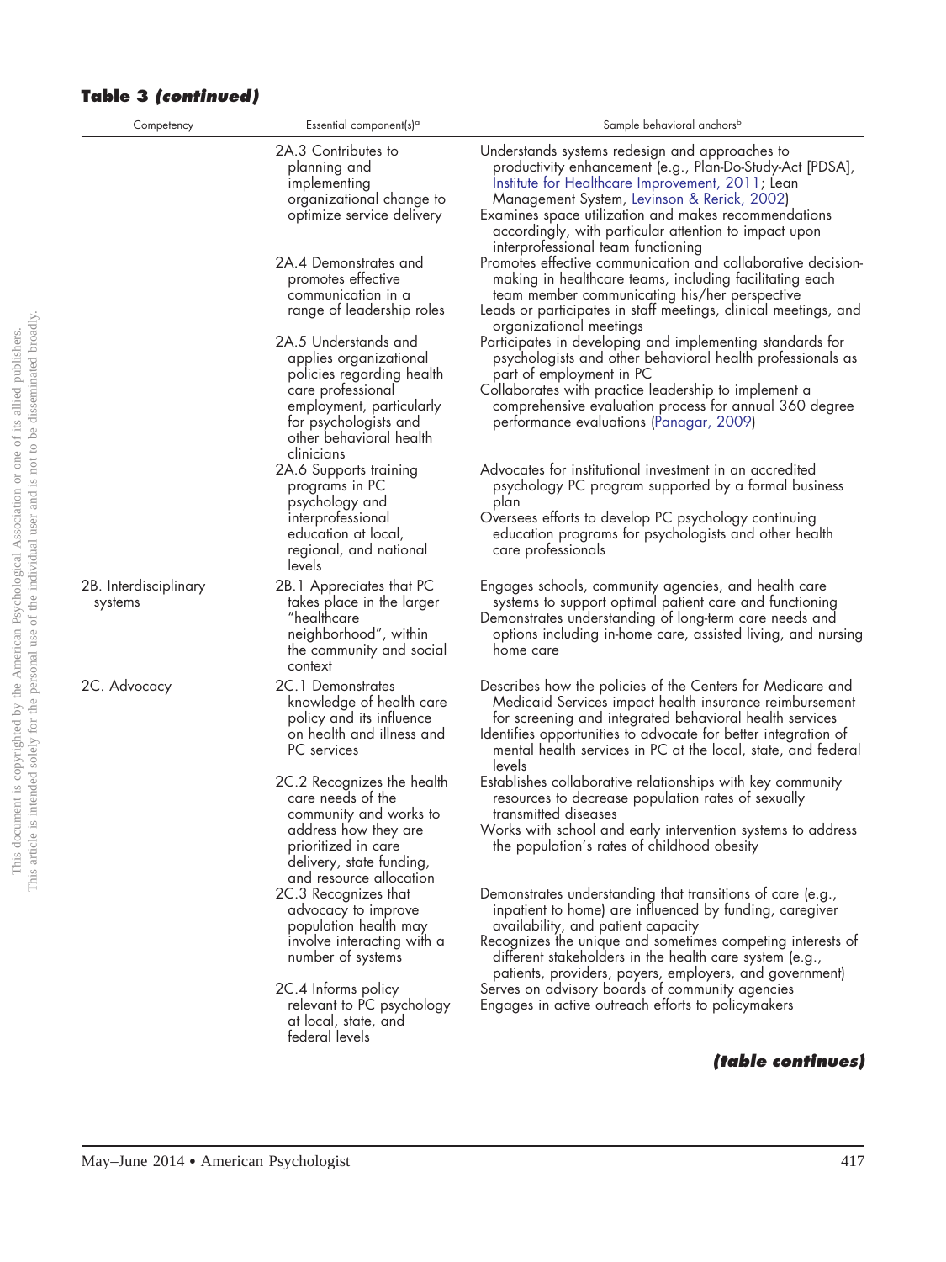| Competency                       | Essential component(s) <sup>a</sup>                                                                                                                                                            | Sample behavioral anchors <sup>b</sup>                                                                                                                                                                                                                                                                                                                                |
|----------------------------------|------------------------------------------------------------------------------------------------------------------------------------------------------------------------------------------------|-----------------------------------------------------------------------------------------------------------------------------------------------------------------------------------------------------------------------------------------------------------------------------------------------------------------------------------------------------------------------|
|                                  | 2A.3 Contributes to<br>planning and<br>implementing<br>organizational change to<br>optimize service delivery                                                                                   | Understands systems redesign and approaches to<br>productivity enhancement (e.g., Plan-Do-Study-Act [PDSA],<br>Institute for Healthcare Improvement, 2011; Lean<br>Management System, Levinson & Rerick, 2002)<br>Examines space utilization and makes recommendations<br>accordingly, with particular attention to impact upon<br>interprofessional team functioning |
|                                  | 2A.4 Demonstrates and<br>promotes effective<br>communication in a<br>range of leadership roles                                                                                                 | Promotes effective communication and collaborative decision-<br>making in healthcare teams, including facilitating each<br>team member communicating his/her perspective<br>Leads or participates in staff meetings, clinical meetings, and<br>organizational meetings                                                                                                |
|                                  | 2A.5 Understands and<br>applies organizational<br>policies regarding health<br>care professional<br>employment, particularly<br>for psychologists and<br>other behavioral health<br>clinicians | Participates in developing and implementing standards for<br>psychologists and other behavioral health professionals as<br>part of employment in PC<br>Collaborates with practice leadership to implement a<br>comprehensive evaluation process for annual 360 degree<br>performance evaluations (Panagar, 2009)                                                      |
|                                  | 2A.6 Supports training<br>programs in PC<br>psychology and<br>interprofessional<br>education at local,<br>regional, and national<br>levels                                                     | Advocates for institutional investment in an accredited<br>psychology PC program supported by a formal business<br>plan<br>Oversees efforts to develop PC psychology continuing<br>education programs for psychologists and other health<br>care professionals                                                                                                        |
| 2B. Interdisciplinary<br>systems | 2B.1 Appreciates that PC<br>takes place in the larger<br>"healthcare<br>neighborhood", within<br>the community and social<br>context                                                           | Engages schools, community agencies, and health care<br>systems to support optimal patient care and functioning<br>Demonstrates understanding of long-term care needs and<br>options including in-home care, assisted living, and nursing<br>home care                                                                                                                |
| 2C. Advocacy                     | 2C.1 Demonstrates<br>knowledge of health care<br>policy and its influence<br>on health and illness and<br>PC services                                                                          | Describes how the policies of the Centers for Medicare and<br>Medicaid Services impact health insurance reimbursement<br>for screening and integrated behavioral health services<br>Identifies opportunities to advocate for better integration of<br>mental health services in PC at the local, state, and federal<br>levels                                         |
|                                  | 2C.2 Recognizes the health<br>care needs of the<br>community and works to<br>address how they are<br>prioritized in care<br>delivery, state funding,<br>and resource allocation                | Establishes collaborative relationships with key community<br>resources to decrease population rates of sexually<br>transmitted diseases<br>Works with school and early intervention systems to address<br>the population's rates of childhood obesity                                                                                                                |
|                                  | 2C.3 Recognizes that<br>advocacy to improve<br>population health may<br>involve interacting with a<br>number of systems                                                                        | Demonstrates understanding that transitions of care (e.g.,<br>inpatient to home) are influenced by funding, caregiver<br>availability, and patient capacity<br>Recognizes the unique and sometimes competing interests of<br>different stakeholders in the health care system (e.g.,<br>patients, providers, payers, employers, and government)                       |
|                                  | 2C.4 Informs policy<br>relevant to PC psychology<br>at local, state, and                                                                                                                       | Serves on advisory boards of community agencies<br>Engages in active outreach efforts to policymakers                                                                                                                                                                                                                                                                 |

# *(table continues)*

federal levels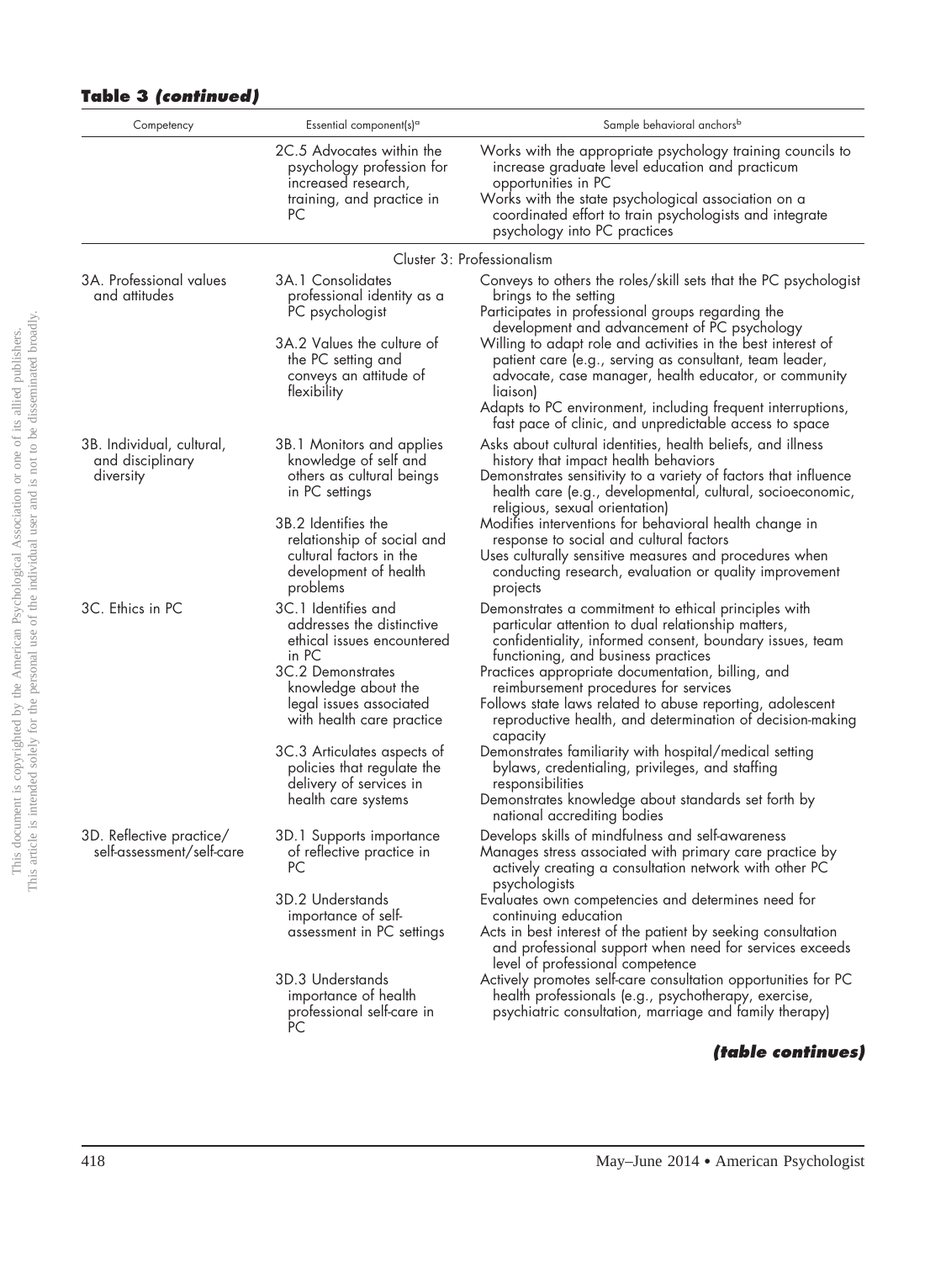| Competency                                                 | Essential component(s) <sup>a</sup>                                                                                                                                                                                                                                                                        | Sample behavioral anchors <sup>b</sup>                                                                                                                                                                                                                                                                                                                                                                                                                                                                                                                                                                                                                                   |
|------------------------------------------------------------|------------------------------------------------------------------------------------------------------------------------------------------------------------------------------------------------------------------------------------------------------------------------------------------------------------|--------------------------------------------------------------------------------------------------------------------------------------------------------------------------------------------------------------------------------------------------------------------------------------------------------------------------------------------------------------------------------------------------------------------------------------------------------------------------------------------------------------------------------------------------------------------------------------------------------------------------------------------------------------------------|
|                                                            | 2C.5 Advocates within the<br>psychology profession for<br>increased research,<br>training, and practice in<br>PC                                                                                                                                                                                           | Works with the appropriate psychology training councils to<br>increase graduate level education and practicum<br>opportunities in PC<br>Works with the state psychological association on a<br>coordinated effort to train psychologists and integrate<br>psychology into PC practices                                                                                                                                                                                                                                                                                                                                                                                   |
|                                                            |                                                                                                                                                                                                                                                                                                            | Cluster 3: Professionalism                                                                                                                                                                                                                                                                                                                                                                                                                                                                                                                                                                                                                                               |
| 3A. Professional values<br>and attitudes                   | 3A.1 Consolidates<br>professional identity as a<br>PC psychologist<br>3A.2 Values the culture of<br>the PC setting and<br>conveys an attitude of<br>flexibility                                                                                                                                            | Conveys to others the roles/skill sets that the PC psychologist<br>brings to the setting<br>Participates in professional groups regarding the<br>development and advancement of PC psychology<br>Willing to adapt role and activities in the best interest of<br>patient care (e.g., serving as consultant, team leader,<br>advocate, case manager, health educator, or community<br>liaison)<br>Adapts to PC environment, including frequent interruptions,<br>fast pace of clinic, and unpredictable access to space                                                                                                                                                   |
| 3B. Individual, cultural,<br>and disciplinary<br>diversity | 3B.1 Monitors and applies<br>knowledge of self and<br>others as cultural beings<br>in PC settings<br>3B.2 Identifies the<br>relationship of social and<br>cultural factors in the<br>development of health<br>problems                                                                                     | Asks about cultural identities, health beliefs, and illness<br>history that impact health behaviors<br>Demonstrates sensitivity to a variety of factors that influence<br>health care (e.g., developmental, cultural, socioeconomic,<br>religious, sexual orientation)<br>Modifies interventions for behavioral health change in<br>response to social and cultural factors<br>Uses culturally sensitive measures and procedures when<br>conducting research, evaluation or quality improvement<br>projects                                                                                                                                                              |
| 3C. Ethics in PC                                           | 3C.1 Identifies and<br>addresses the distinctive<br>ethical issues encountered<br>in PC<br>3C.2 Demonstrates<br>knowledge about the<br>legal issues associated<br>with health care practice<br>3C.3 Articulates aspects of<br>policies that regulate the<br>delivery of services in<br>health care systems | Demonstrates a commitment to ethical principles with<br>particular attention to dual relationship matters,<br>confidentiality, informed consent, boundary issues, team<br>functioning, and business practices<br>Practices appropriate documentation, billing, and<br>reimbursement procedures for services<br>Follows state laws related to abuse reporting, adolescent<br>reproductive health, and determination of decision-making<br>capacity<br>Demonstrates familiarity with hospital/medical setting<br>bylaws, credentialing, privileges, and staffing<br>responsibilities<br>Demonstrates knowledge about standards set forth by<br>national accrediting bodies |
| 3D. Reflective practice/<br>self-assessment/self-care      | 3D.1 Supports importance<br>of reflective practice in<br>PС<br>3D.2 Understands<br>importance of self-<br>assessment in PC settings<br>3D.3 Understands<br>importance of health<br>professional self-care in<br>PC                                                                                         | Develops skills of mindfulness and self-awareness<br>Manages stress associated with primary care practice by<br>actively creating a consultation network with other PC<br>psychologists<br>Evaluates own competencies and determines need for<br>continuing education<br>Acts in best interest of the patient by seeking consultation<br>and professional support when need for services exceeds<br>level of professional competence<br>Actively promotes self-care consultation opportunities for PC<br>health professionals (e.g., psychotherapy, exercise,<br>psychiatric consultation, marriage and family therapy)                                                  |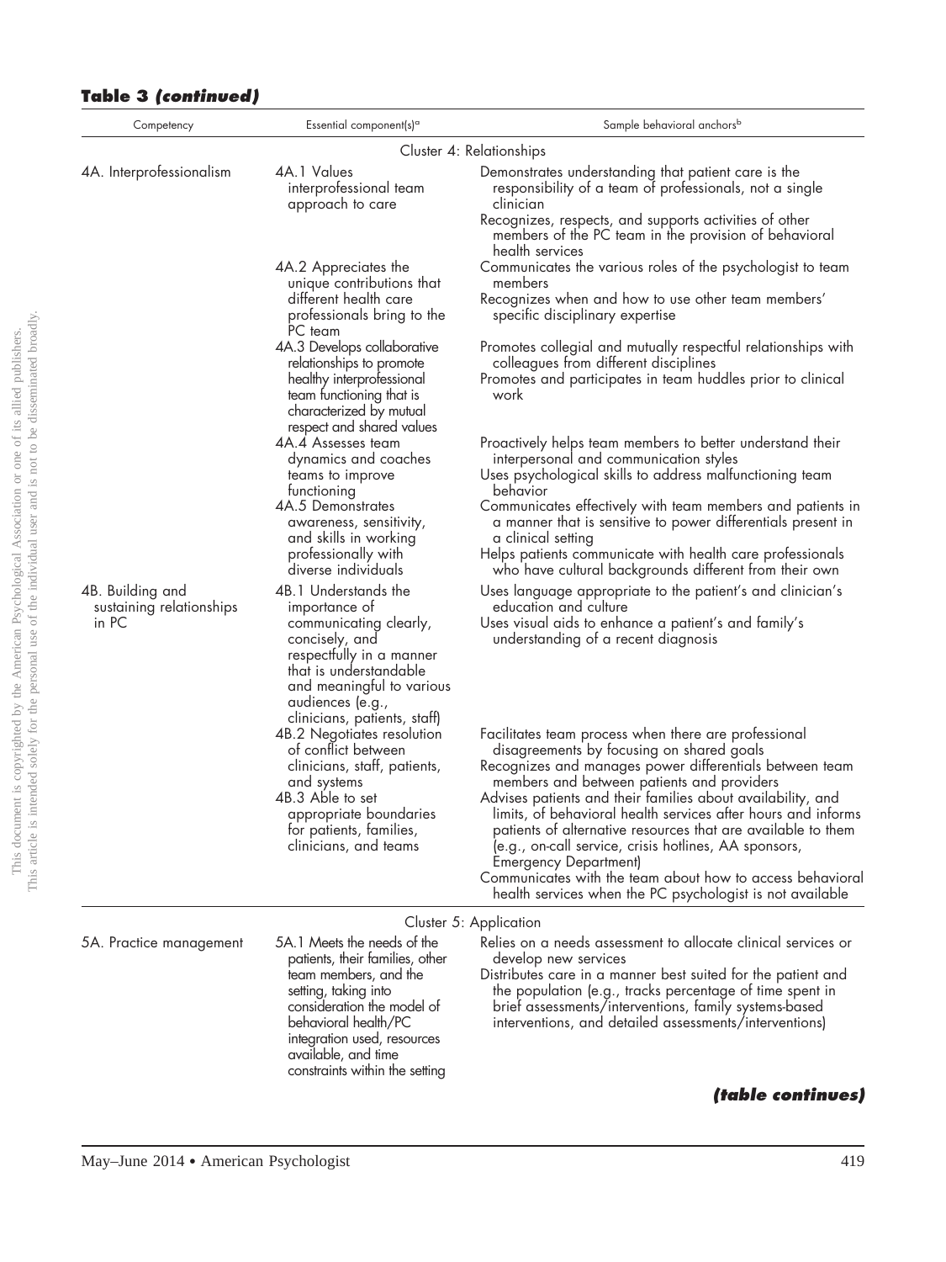| Competency                                            | Essential component(s) <sup>a</sup>                                                                                                                                                                                                                    | Sample behavioral anchors <sup>b</sup>                                                                                                                                                                                                                                                                                                                                                                                                                              |
|-------------------------------------------------------|--------------------------------------------------------------------------------------------------------------------------------------------------------------------------------------------------------------------------------------------------------|---------------------------------------------------------------------------------------------------------------------------------------------------------------------------------------------------------------------------------------------------------------------------------------------------------------------------------------------------------------------------------------------------------------------------------------------------------------------|
|                                                       |                                                                                                                                                                                                                                                        | Cluster 4: Relationships                                                                                                                                                                                                                                                                                                                                                                                                                                            |
| 4A. Interprofessionalism                              | 4A.1 Values<br>interprofessional team<br>approach to care                                                                                                                                                                                              | Demonstrates understanding that patient care is the<br>responsibility of a team of professionals, not a single<br>clinician                                                                                                                                                                                                                                                                                                                                         |
|                                                       |                                                                                                                                                                                                                                                        | Recognizes, respects, and supports activities of other<br>members of the PC team in the provision of behavioral<br>health services                                                                                                                                                                                                                                                                                                                                  |
|                                                       | 4A.2 Appreciates the<br>unique contributions that<br>different health care<br>professionals bring to the                                                                                                                                               | Communicates the various roles of the psychologist to team<br>members<br>Recognizes when and how to use other team members'<br>specific disciplinary expertise                                                                                                                                                                                                                                                                                                      |
|                                                       | PC team<br>4A.3 Develops collaborative<br>relationships to promote                                                                                                                                                                                     | Promotes collegial and mutually respectful relationships with<br>colleagues from different disciplines                                                                                                                                                                                                                                                                                                                                                              |
|                                                       | healthy interprofessional<br>team functioning that is<br>characterized by mutual<br>respect and shared values                                                                                                                                          | Promotes and participates in team huddles prior to clinical<br>work                                                                                                                                                                                                                                                                                                                                                                                                 |
|                                                       | 4A.4 Assesses team<br>dynamics and coaches<br>teams to improve<br>functioning                                                                                                                                                                          | Proactively helps team members to better understand their<br>interpersonal and communication styles<br>Uses psychological skills to address malfunctioning team<br>behavior                                                                                                                                                                                                                                                                                         |
|                                                       | 4A.5 Demonstrates<br>awareness, sensitivity,<br>and skills in working                                                                                                                                                                                  | Communicates effectively with team members and patients in<br>a manner that is sensitive to power differentials present in<br>a clinical setting                                                                                                                                                                                                                                                                                                                    |
|                                                       | professionally with<br>diverse individuals                                                                                                                                                                                                             | Helps patients communicate with health care professionals<br>who have cultural backgrounds different from their own                                                                                                                                                                                                                                                                                                                                                 |
| 4B. Building and<br>sustaining relationships<br>in PC | 4B.1 Understands the<br>importance of<br>communicating clearly,<br>concisely, and<br>respectfully in a manner<br>that is understandable<br>and meaningful to various                                                                                   | Uses language appropriate to the patient's and clinician's<br>education and culture<br>Uses visual aids to enhance a patient's and family's<br>understanding of a recent diagnosis                                                                                                                                                                                                                                                                                  |
|                                                       | audiences (e.g.,<br>clinicians, patients, staff)<br>4B.2 Negotiates resolution<br>of conflict between<br>clinicians, staff, patients,<br>and systems<br>4B.3 Able to set<br>appropriate boundaries<br>for patients, families,<br>clinicians, and teams | Facilitates team process when there are professional<br>disagreements by focusing on shared goals<br>Recognizes and manages power differentials between team<br>members and between patients and providers<br>Advises patients and their families about availability, and<br>limits, of behavioral health services after hours and informs<br>patients of alternative resources that are available to them<br>(e.g., on-call service, crisis hotlines, AA sponsors, |
|                                                       |                                                                                                                                                                                                                                                        | <b>Emergency Department)</b><br>Communicates with the team about how to access behavioral<br>health services when the PC psychologist is not available                                                                                                                                                                                                                                                                                                              |
|                                                       |                                                                                                                                                                                                                                                        | Cluster 5: Application                                                                                                                                                                                                                                                                                                                                                                                                                                              |
| 5A. Practice management                               | 5A.1 Meets the needs of the<br>patients, their families, other<br>team members, and the<br>setting, taking into<br>consideration the model of                                                                                                          | Relies on a needs assessment to allocate clinical services or<br>develop new services<br>Distributes care in a manner best suited for the patient and<br>the population (e.g., tracks percentage of time spent in<br>brief assessments/interventions, family systems-based                                                                                                                                                                                          |

*(table continues)*

interventions, and detailed assessments/interventions)

behavioral health/PC integration used, resources available, and time constraints within the setting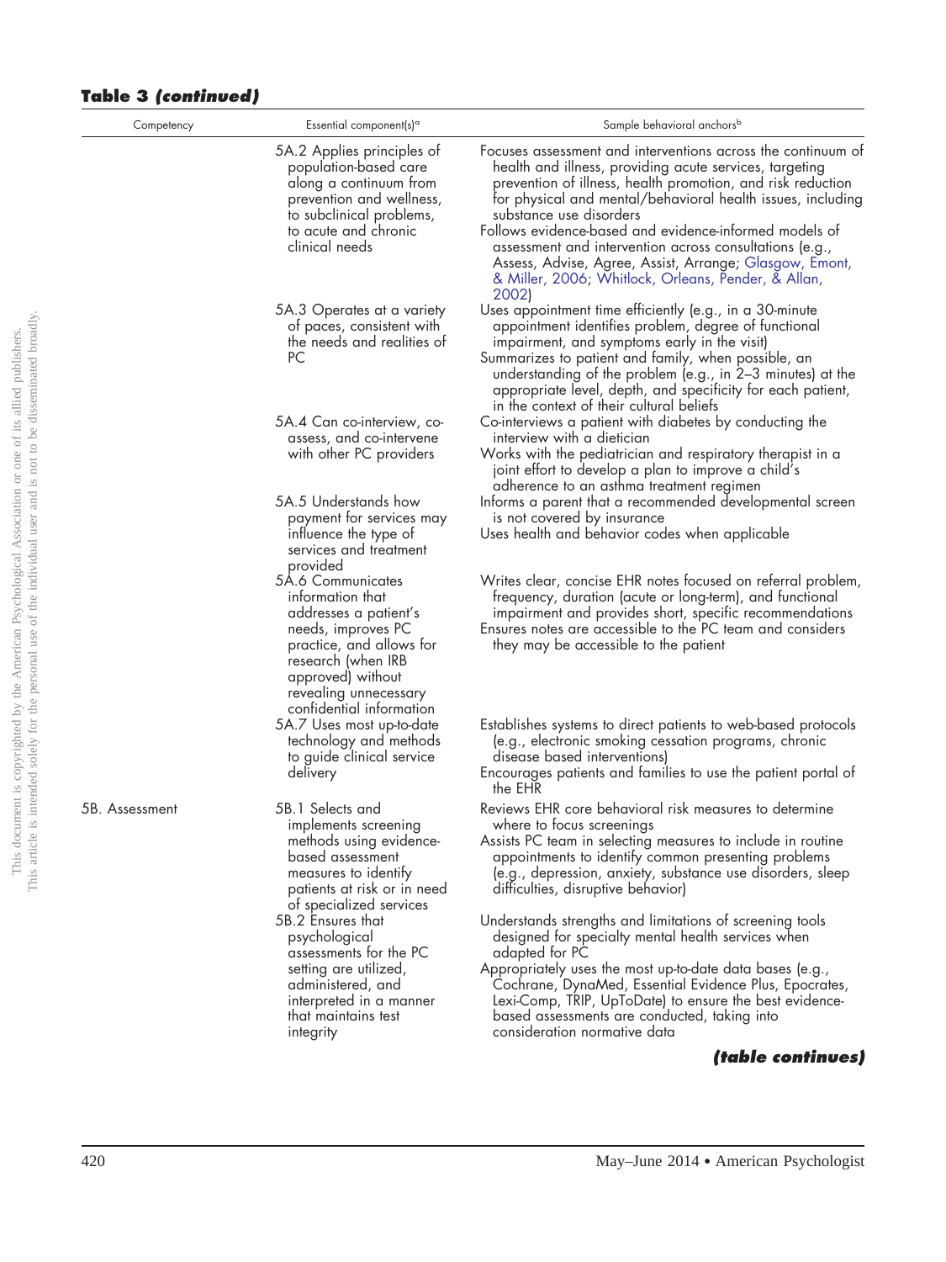| Competency     | Essential component(s) <sup>a</sup>                                                                                                                                                  | Sample behavioral anchors <sup>b</sup>                                                                                                                                                                                                                                                                                                                                                                                                                                                                                           |
|----------------|--------------------------------------------------------------------------------------------------------------------------------------------------------------------------------------|----------------------------------------------------------------------------------------------------------------------------------------------------------------------------------------------------------------------------------------------------------------------------------------------------------------------------------------------------------------------------------------------------------------------------------------------------------------------------------------------------------------------------------|
|                | 5A.2 Applies principles of<br>population-based care<br>along a continuum from<br>prevention and wellness,<br>to subclinical problems,<br>to acute and chronic<br>clinical needs      | Focuses assessment and interventions across the continuum of<br>health and illness, providing acute services, targeting<br>prevention of illness, health promotion, and risk reduction<br>for physical and mental/behavioral health issues, including<br>substance use disorders<br>Follows evidence-based and evidence-informed models of<br>assessment and intervention across consultations (e.g.,<br>Assess, Advise, Agree, Assist, Arrange; Glasgow, Emont,<br>& Miller, 2006; Whitlock, Orleans, Pender, & Allan,<br>2002) |
|                | 5A.3 Operates at a variety<br>of paces, consistent with<br>the needs and realities of<br>PC                                                                                          | Uses appointment time efficiently (e.g., in a 30-minute<br>appointment identifies problem, degree of functional<br>impairment, and symptoms early in the visit)<br>Summarizes to patient and family, when possible, an<br>understanding of the problem (e.g., in 2-3 minutes) at the<br>appropriate level, depth, and specificity for each patient,<br>in the context of their cultural beliefs                                                                                                                                  |
|                | 5A.4 Can co-interview, co-<br>assess, and co-intervene<br>with other PC providers                                                                                                    | Co-interviews a patient with diabetes by conducting the<br>interview with a dietician<br>Works with the pediatrician and respiratory therapist in a<br>joint effort to develop a plan to improve a child's<br>adherence to an asthma treatment regimen                                                                                                                                                                                                                                                                           |
|                | 5A.5 Understands how<br>payment for services may<br>influence the type of<br>services and treatment<br>provided                                                                      | Informs a parent that a recommended developmental screen<br>is not covered by insurance<br>Uses health and behavior codes when applicable                                                                                                                                                                                                                                                                                                                                                                                        |
|                | 5A.6 Communicates<br>information that<br>addresses a patient's<br>needs, improves PC<br>practice, and allows for<br>research (when IRB<br>approved) without<br>revealing unnecessary | Writes clear, concise EHR notes focused on referral problem,<br>frequency, duration (acute or long-term), and functional<br>impairment and provides short, specific recommendations<br>Ensures notes are accessible to the PC team and considers<br>they may be accessible to the patient                                                                                                                                                                                                                                        |
|                | confidential information<br>5A.7 Uses most up-to-date<br>technology and methods<br>to guide clinical service<br>delivery                                                             | Establishes systems to direct patients to web-based protocols<br>(e.g., electronic smoking cessation programs, chronic<br>disease based interventions)<br>Encourages patients and families to use the patient portal of<br>the EHR                                                                                                                                                                                                                                                                                               |
| 5B. Assessment | 5B.1 Selects and<br>implements screening<br>methods using evidence-<br>based assessment<br>measures to identify<br>patients at risk or in need<br>of specialized services            | Reviews EHR core behavioral risk measures to determine<br>where to focus screenings<br>Assists PC team in selecting measures to include in routine<br>appointments to identify common presenting problems<br>(e.g., depression, anxiety, substance use disorders, sleep<br>difficulties, disruptive behavior)                                                                                                                                                                                                                    |
|                | 5B.2 Ensures that<br>psychological<br>assessments for the PC<br>setting are utilized,<br>administered, and<br>interpreted in a manner<br>that maintains test<br>integrity            | Understands strengths and limitations of screening tools<br>designed for specialty mental health services when<br>adapted for PC<br>Appropriately uses the most up-to-date data bases (e.g.,<br>Cochrane, DynaMed, Essential Evidence Plus, Epocrates,<br>Lexi-Comp, TRIP, UpToDate) to ensure the best evidence-<br>based assessments are conducted, taking into<br>consideration normative data                                                                                                                                |
|                |                                                                                                                                                                                      | <i>(table continues)</i>                                                                                                                                                                                                                                                                                                                                                                                                                                                                                                         |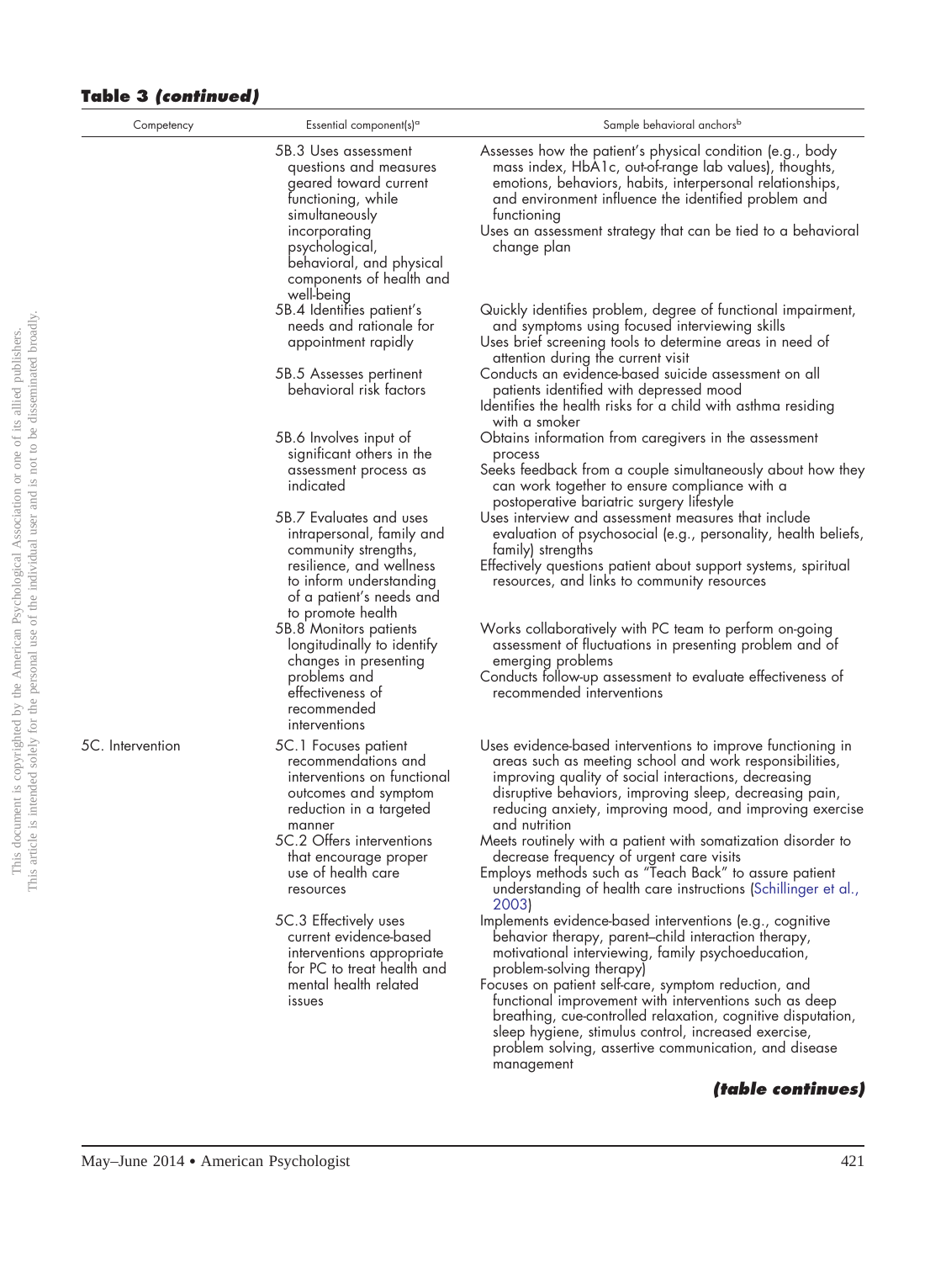| Competency       | Essential component(s) <sup>a</sup>                                                                                                                                                                                              | Sample behavioral anchors <sup>b</sup>                                                                                                                                                                                                                                                                                                                                                                                                                                                                                                                                  |
|------------------|----------------------------------------------------------------------------------------------------------------------------------------------------------------------------------------------------------------------------------|-------------------------------------------------------------------------------------------------------------------------------------------------------------------------------------------------------------------------------------------------------------------------------------------------------------------------------------------------------------------------------------------------------------------------------------------------------------------------------------------------------------------------------------------------------------------------|
|                  | 5B.3 Uses assessment<br>questions and measures<br>geared toward current<br>functioning, while<br>simultaneously<br>incorporating<br>psychological,<br>behavioral, and physical<br>components of health and<br>well-being         | Assesses how the patient's physical condition (e.g., body<br>mass index, HbA1c, out-of-range lab values), thoughts,<br>emotions, behaviors, habits, interpersonal relationships,<br>and environment influence the identified problem and<br>tunctioning<br>Uses an assessment strategy that can be tied to a behavioral<br>change plan                                                                                                                                                                                                                                  |
|                  | 5B.4 Identifies patient's<br>needs and rationale for<br>appointment rapidly                                                                                                                                                      | Quickly identifies problem, degree of functional impairment,<br>and symptoms using focused interviewing skills<br>Uses brief screening tools to determine areas in need of<br>attention during the current visit                                                                                                                                                                                                                                                                                                                                                        |
|                  | 5B.5 Assesses pertinent<br>behavioral risk factors                                                                                                                                                                               | Conducts an evidence-based suicide assessment on all<br>patients identified with depressed mood<br>Identifies the health risks for a child with asthma residing<br>with a smoker                                                                                                                                                                                                                                                                                                                                                                                        |
|                  | 5B.6 Involves input of<br>significant others in the<br>assessment process as<br>indicated                                                                                                                                        | Obtains information from caregivers in the assessment<br>process<br>Seeks feedback from a couple simultaneously about how they<br>can work together to ensure compliance with a<br>postoperative bariatric surgery lifestyle                                                                                                                                                                                                                                                                                                                                            |
|                  | 5B.7 Evaluates and uses<br>intrapersonal, family and<br>community strengths,<br>resilience, and wellness<br>to inform understanding<br>of a patient's needs and<br>to promote health                                             | Uses interview and assessment measures that include<br>evaluation of psychosocial (e.g., personality, health beliefs,<br>tamily) strengths<br>Effectively questions patient about support systems, spiritual<br>resources, and links to community resources                                                                                                                                                                                                                                                                                                             |
|                  | 5B.8 Monitors patients<br>longitudinally to identify<br>changes in presenting<br>problems and<br>effectiveness of<br>recommended<br>interventions                                                                                | Works collaboratively with PC team to perform on-going<br>assessment of fluctuations in presenting problem and of<br>emerging problems<br>Conducts follow-up assessment to evaluate effectiveness of<br>recommended interventions                                                                                                                                                                                                                                                                                                                                       |
| 5C. Intervention | 5C.1 Focuses patient<br>recommendations and<br>interventions on functional<br>outcomes and symptom<br>reduction in a targeted<br>manner<br>5C.2 Offers interventions<br>that encourage proper<br>use of health care<br>resources | Uses evidence-based interventions to improve functioning in<br>areas such as meeting school and work responsibilities,<br>improving quality of social interactions, decreasing<br>disruptive behaviors, improving sleep, decreasing pain,<br>reducing anxiety, improving mood, and improving exercise<br>and nutrition<br>Meets routinely with a patient with somatization disorder to<br>decrease frequency of urgent care visits<br>Employs methods such as "Teach Back" to assure patient<br>understanding of health care instructions (Schillinger et al.,<br>2003) |
|                  | 5C.3 Effectively uses<br>current evidence-based<br>interventions appropriate<br>for PC to treat health and<br>mental health related<br>issues                                                                                    | Implements evidence-based interventions (e.g., cognitive<br>behavior therapy, parent-child interaction therapy,<br>motivational interviewing, family psychoeducation,<br>problem-solving therapy)<br>Focuses on patient self-care, symptom reduction, and<br>functional improvement with interventions such as deep<br>breathing, cue-controlled relaxation, cognitive disputation,<br>sleep hygiene, stimulus control, increased exercise,<br>problem solving, assertive communication, and disease<br>management                                                      |

# *(table continues)*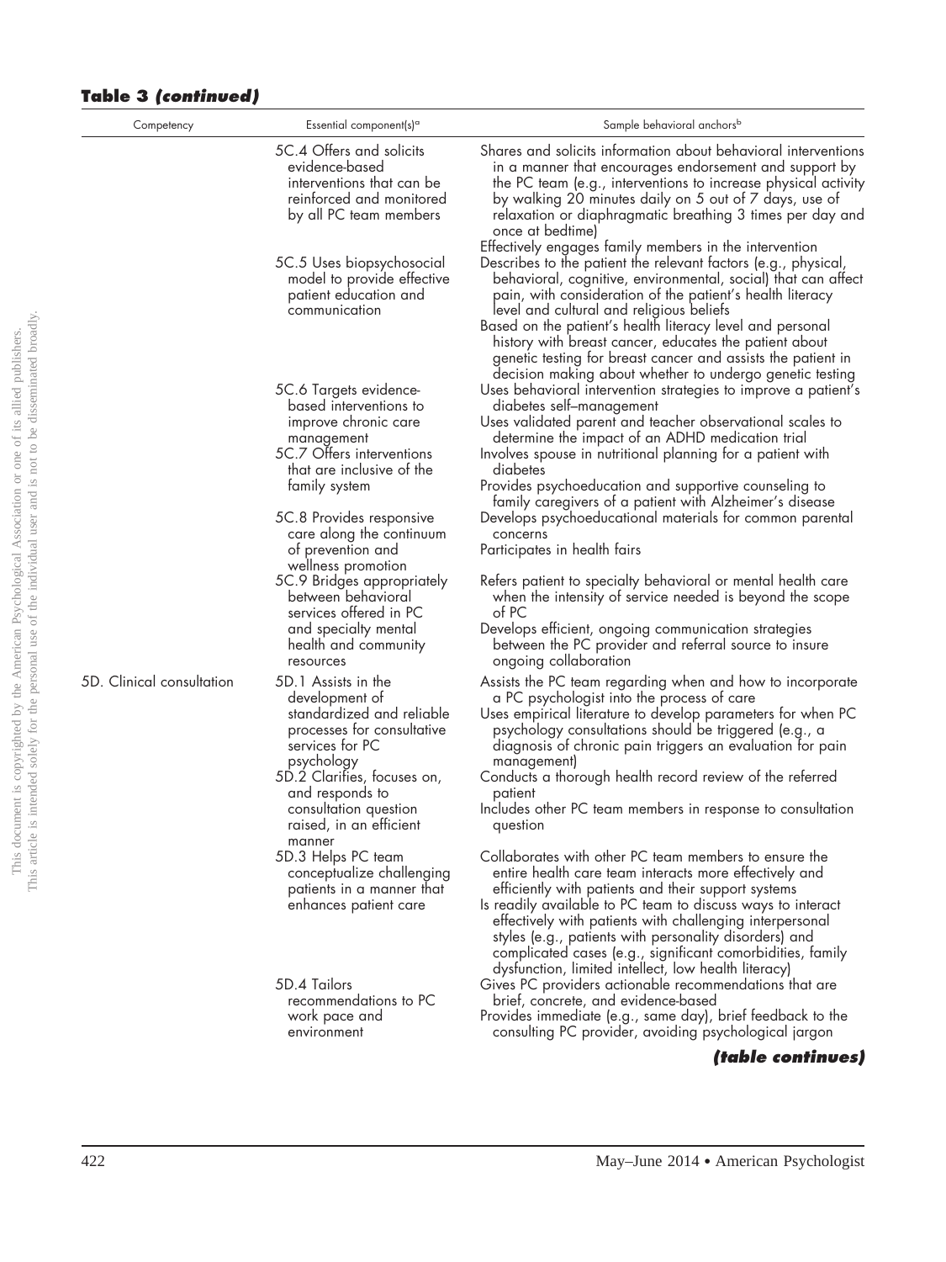| Competency                | Essential component(s) <sup>a</sup>                                                                                                                                                                                                               | Sample behavioral anchors <sup>b</sup>                                                                                                                                                                                                                                                                                                                                                                                                                                            |
|---------------------------|---------------------------------------------------------------------------------------------------------------------------------------------------------------------------------------------------------------------------------------------------|-----------------------------------------------------------------------------------------------------------------------------------------------------------------------------------------------------------------------------------------------------------------------------------------------------------------------------------------------------------------------------------------------------------------------------------------------------------------------------------|
|                           | 5C.4 Offers and solicits<br>evidence-based<br>interventions that can be<br>reinforced and monitored<br>by all PC team members                                                                                                                     | Shares and solicits information about behavioral interventions<br>in a manner that encourages endorsement and support by<br>the PC team (e.g., interventions to increase physical activity<br>by walking 20 minutes daily on 5 out of 7 days, use of<br>relaxation or diaphragmatic breathing 3 times per day and<br>once at bedtime)                                                                                                                                             |
|                           | 5C.5 Uses biopsychosocial<br>model to provide effective<br>patient education and<br>communication                                                                                                                                                 | Effectively engages family members in the intervention<br>Describes to the patient the relevant factors (e.g., physical,<br>behavioral, cognitive, environmental, social) that can affect<br>pain, with consideration of the patient's health literacy<br>level and cultural and religious beliefs<br>Based on the patient's health literacy level and personal<br>history with breast cancer, educates the patient about                                                         |
|                           | 5C.6 Targets evidence-<br>based interventions to<br>improve chronic care<br>management<br>5C.7 Offers interventions<br>that are inclusive of the<br>tamily system                                                                                 | genetic testing for breast cancer and assists the patient in<br>decision making about whether to undergo genetic testing<br>Uses behavioral intervention strategies to improve a patient's<br>diabetes self-management<br>Uses validated parent and teacher observational scales to<br>determine the impact of an ADHD medication trial<br>Involves spouse in nutritional planning for a patient with<br>diabetes<br>Provides psychoeducation and supportive counseling to        |
|                           | 5C.8 Provides responsive<br>care along the continuum<br>of prevention and                                                                                                                                                                         | family caregivers of a patient with Alzheimer's disease<br>Develops psychoeducational materials for common parental<br>concerns<br>Participates in health tairs                                                                                                                                                                                                                                                                                                                   |
|                           | wellness promotion<br>5C.9 Bridges appropriately<br>between behavioral<br>services offered in PC<br>and specialty mental<br>health and community<br>resources                                                                                     | Refers patient to specialty behavioral or mental health care<br>when the intensity of service needed is beyond the scope<br>ot PC<br>Develops efficient, ongoing communication strategies<br>between the PC provider and referral source to insure<br>ongoing collaboration                                                                                                                                                                                                       |
| 5D. Clinical consultation | 5D.1 Assists in the<br>development of<br>standardized and reliable<br>processes for consultative<br>services for PC<br>psychology<br>5D.2 Clarifies, focuses on,<br>and responds to<br>consultation question<br>raised, in an efficient<br>manner | Assists the PC team regarding when and how to incorporate<br>a PC psychologist into the process of care<br>Uses empirical literature to develop parameters for when PC<br>psychology consultations should be triggered (e.g., a<br>diagnosis of chronic pain triggers an evaluation for pain<br>management)<br>Conducts a thorough health record review of the referred<br>patient<br>Includes other PC team members in response to consultation<br>question                      |
|                           | 5D.3 Helps PC team<br>conceptualize challenging<br>patients in a manner that<br>enhances patient care                                                                                                                                             | Collaborates with other PC team members to ensure the<br>entire health care team interacts more effectively and<br>efficiently with patients and their support systems<br>Is readily available to PC team to discuss ways to interact<br>effectively with patients with challenging interpersonal<br>styles (e.g., patients with personality disorders) and<br>complicated cases (e.g., significant comorbidities, family<br>dysfunction, limited intellect, low health literacy) |
|                           | 5D.4 Tailors<br>recommendations to PC<br>work pace and<br>environment                                                                                                                                                                             | Gives PC providers actionable recommendations that are<br>brief, concrete, and evidence-based<br>Provides immediate (e.g., same day), brief feedback to the<br>consulting PC provider, avoiding psychological jargon                                                                                                                                                                                                                                                              |
|                           |                                                                                                                                                                                                                                                   | <i>(table continues)</i>                                                                                                                                                                                                                                                                                                                                                                                                                                                          |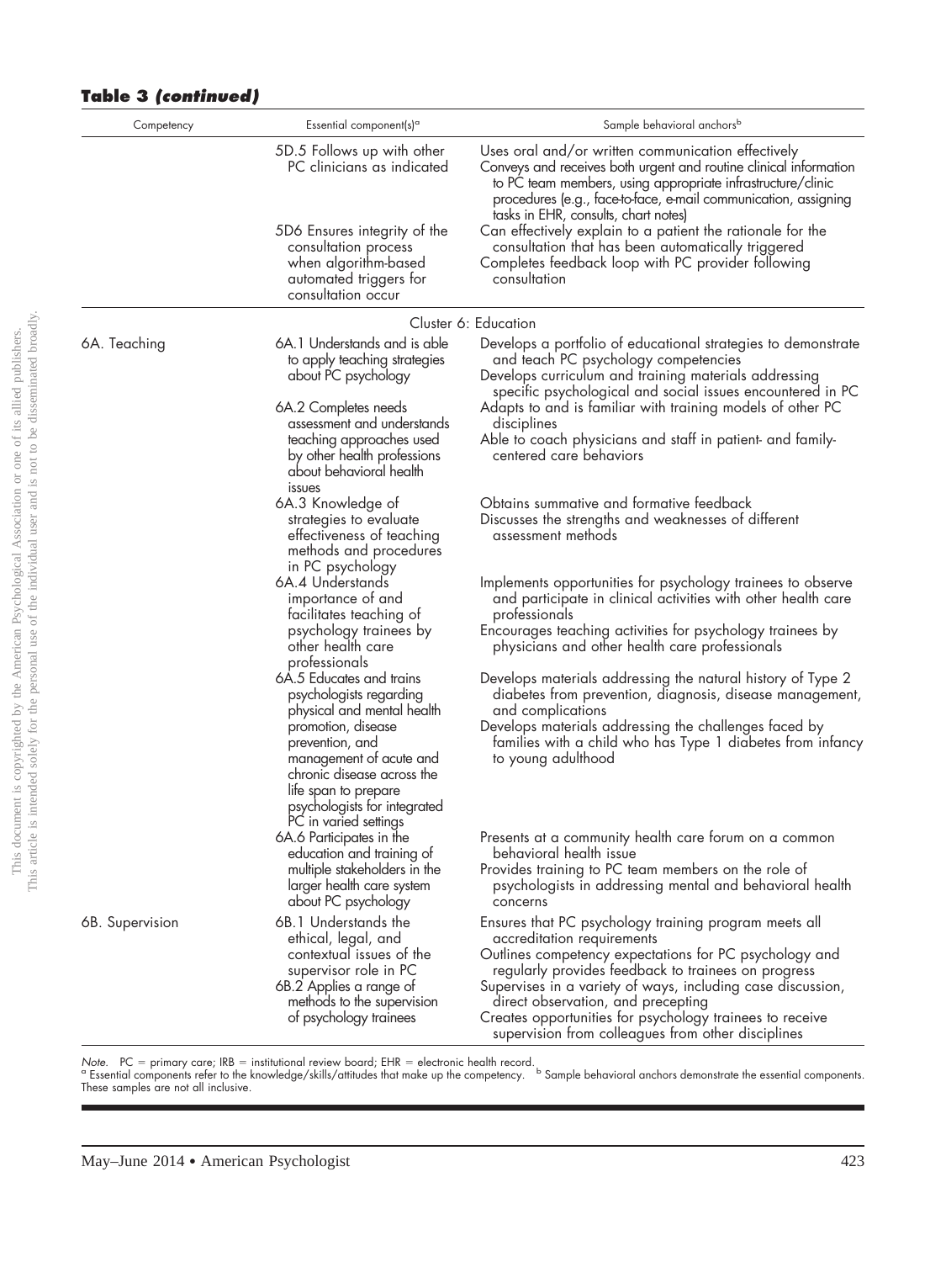| Competency      | Essential component(s) <sup>a</sup>                                                                                                                                                 | Sample behavioral anchors <sup>b</sup>                                                                                                                                                                                                                                                                                                                                                                                                                                      |
|-----------------|-------------------------------------------------------------------------------------------------------------------------------------------------------------------------------------|-----------------------------------------------------------------------------------------------------------------------------------------------------------------------------------------------------------------------------------------------------------------------------------------------------------------------------------------------------------------------------------------------------------------------------------------------------------------------------|
|                 | 5D.5 Follows up with other<br>PC clinicians as indicated<br>5D6 Ensures integrity of the<br>consultation process<br>when algorithm-based                                            | Uses oral and/or written communication effectively<br>Conveys and receives both urgent and routine clinical information<br>to PC team members, using appropriate infrastructure/clinic<br>procedures (e.g., face-to-face, e-mail communication, assigning<br>tasks in EHR, consults, chart notes)<br>Can effectively explain to a patient the rationale for the<br>consultation that has been automatically triggered<br>Completes feedback loop with PC provider following |
|                 | automated triggers for<br>consultation occur                                                                                                                                        | consultation                                                                                                                                                                                                                                                                                                                                                                                                                                                                |
|                 |                                                                                                                                                                                     | Cluster 6: Education                                                                                                                                                                                                                                                                                                                                                                                                                                                        |
| 6A. Teaching    | 6A.1 Understands and is able<br>to apply teaching strategies<br>about PC psychology                                                                                                 | Develops a portfolio of educational strategies to demonstrate<br>and teach PC psychology competencies<br>Develops curriculum and training materials addressing<br>specific psychological and social issues encountered in PC                                                                                                                                                                                                                                                |
|                 | 6A.2 Completes needs<br>assessment and understands<br>teaching approaches used<br>by other health professions<br>about behavioral health<br>issues                                  | Adapts to and is familiar with training models of other PC<br>disciplines<br>Able to coach physicians and staff in patient- and family-<br>centered care behaviors                                                                                                                                                                                                                                                                                                          |
|                 | 6A.3 Knowledge of<br>strategies to evaluate<br>effectiveness of teaching<br>methods and procedures<br>in PC psychology                                                              | Obtains summative and formative feedback<br>Discusses the strengths and weaknesses of different<br>assessment methods                                                                                                                                                                                                                                                                                                                                                       |
|                 | 6A.4 Understands<br>importance of and<br>facilitates teaching of<br>psychology trainees by                                                                                          | Implements opportunities for psychology trainees to observe<br>and participate in clinical activities with other health care<br>professionals<br>Encourages teaching activities for psychology trainees by                                                                                                                                                                                                                                                                  |
|                 | other health care<br>professionals                                                                                                                                                  | physicians and other health care professionals                                                                                                                                                                                                                                                                                                                                                                                                                              |
|                 | 6A.5 Educates and trains<br>psychologists regarding<br>physical and mental health                                                                                                   | Develops materials addressing the natural history of Type 2<br>diabetes from prevention, diagnosis, disease management,<br>and complications                                                                                                                                                                                                                                                                                                                                |
|                 | promotion, disease<br>prevention, and<br>management of acute and<br>chronic disease across the<br>lite span to prepare<br>psychologists for integrated<br>PC in varied settings     | Develops materials addressing the challenges faced by<br>families with a child who has Type 1 diabetes from infancy<br>to young adulthood                                                                                                                                                                                                                                                                                                                                   |
|                 | 6A.6 Participates in the<br>education and training of<br>multiple stakeholders in the<br>larger health care system<br>about PC psychology                                           | Presents at a community health care forum on a common<br>behavioral health issue<br>Provides training to PC team members on the role of<br>psychologists in addressing mental and behavioral health<br>concerns                                                                                                                                                                                                                                                             |
| 6B. Supervision | 6B.1 Understands the<br>ethical, legal, and<br>contextual issues of the<br>supervisor role in PC<br>6B.2 Applies a range of<br>methods to the supervision<br>of psychology trainees | Ensures that PC psychology training program meets all<br>accreditation requirements<br>Outlines competency expectations for PC psychology and<br>regularly provides feedback to trainees on progress<br>Supervises in a variety of ways, including case discussion,<br>direct observation, and precepting<br>Creates opportunities for psychology trainees to receive<br>supervision from colleagues from other disciplines                                                 |

This document is copyrighted by the American Psychological Association or one of its allied publishers.<br>This article is intended solely for the personal use of the individual user and is not to be disseminated broadly. This article is intended solely for the personal use of the individual user and is not to be disseminated broadly. This document is copyrighted by the American Psychological Association or one of its allied publishers.

Note. PC = primary care; IRB = institutional review board; EHR = electronic health record.<br>ª Essential components refer to the knowledge/skills/attitudes that make up the competency. <sup>b</sup> Sample behavioral anchors demonstra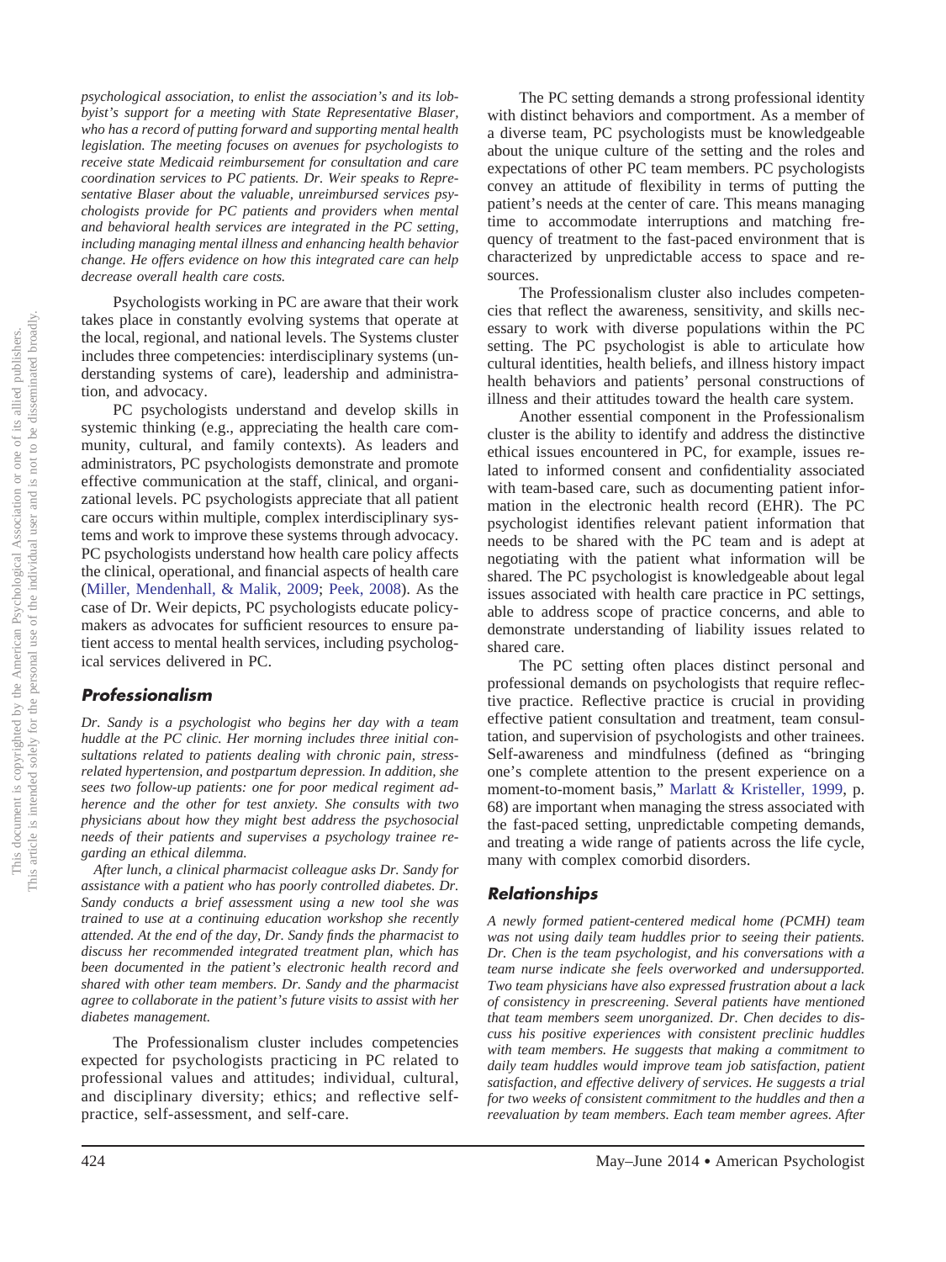*psychological association, to enlist the association's and its lobbyist's support for a meeting with State Representative Blaser, who has a record of putting forward and supporting mental health legislation. The meeting focuses on avenues for psychologists to receive state Medicaid reimbursement for consultation and care coordination services to PC patients. Dr. Weir speaks to Representative Blaser about the valuable, unreimbursed services psychologists provide for PC patients and providers when mental and behavioral health services are integrated in the PC setting, including managing mental illness and enhancing health behavior change. He offers evidence on how this integrated care can help decrease overall health care costs.*

Psychologists working in PC are aware that their work takes place in constantly evolving systems that operate at the local, regional, and national levels. The Systems cluster includes three competencies: interdisciplinary systems (understanding systems of care), leadership and administration, and advocacy.

PC psychologists understand and develop skills in systemic thinking (e.g., appreciating the health care community, cultural, and family contexts). As leaders and administrators, PC psychologists demonstrate and promote effective communication at the staff, clinical, and organizational levels. PC psychologists appreciate that all patient care occurs within multiple, complex interdisciplinary systems and work to improve these systems through advocacy. PC psychologists understand how health care policy affects the clinical, operational, and financial aspects of health care [\(Miller, Mendenhall, & Malik, 2009;](#page-20-36) [Peek, 2008\)](#page-20-37). As the case of Dr. Weir depicts, PC psychologists educate policymakers as advocates for sufficient resources to ensure patient access to mental health services, including psychological services delivered in PC.

#### *Professionalism*

*Dr. Sandy is a psychologist who begins her day with a team huddle at the PC clinic. Her morning includes three initial consultations related to patients dealing with chronic pain, stressrelated hypertension, and postpartum depression. In addition, she sees two follow-up patients: one for poor medical regiment adherence and the other for test anxiety. She consults with two physicians about how they might best address the psychosocial needs of their patients and supervises a psychology trainee regarding an ethical dilemma.*

*After lunch, a clinical pharmacist colleague asks Dr. Sandy for assistance with a patient who has poorly controlled diabetes. Dr. Sandy conducts a brief assessment using a new tool she was trained to use at a continuing education workshop she recently attended. At the end of the day, Dr. Sandy finds the pharmacist to discuss her recommended integrated treatment plan, which has been documented in the patient's electronic health record and shared with other team members. Dr. Sandy and the pharmacist agree to collaborate in the patient's future visits to assist with her diabetes management.*

The Professionalism cluster includes competencies expected for psychologists practicing in PC related to professional values and attitudes; individual, cultural, and disciplinary diversity; ethics; and reflective selfpractice, self-assessment, and self-care.

The PC setting demands a strong professional identity with distinct behaviors and comportment. As a member of a diverse team, PC psychologists must be knowledgeable about the unique culture of the setting and the roles and expectations of other PC team members. PC psychologists convey an attitude of flexibility in terms of putting the patient's needs at the center of care. This means managing time to accommodate interruptions and matching frequency of treatment to the fast-paced environment that is characterized by unpredictable access to space and resources.

The Professionalism cluster also includes competencies that reflect the awareness, sensitivity, and skills necessary to work with diverse populations within the PC setting. The PC psychologist is able to articulate how cultural identities, health beliefs, and illness history impact health behaviors and patients' personal constructions of illness and their attitudes toward the health care system.

Another essential component in the Professionalism cluster is the ability to identify and address the distinctive ethical issues encountered in PC, for example, issues related to informed consent and confidentiality associated with team-based care, such as documenting patient information in the electronic health record (EHR). The PC psychologist identifies relevant patient information that needs to be shared with the PC team and is adept at negotiating with the patient what information will be shared. The PC psychologist is knowledgeable about legal issues associated with health care practice in PC settings, able to address scope of practice concerns, and able to demonstrate understanding of liability issues related to shared care.

The PC setting often places distinct personal and professional demands on psychologists that require reflective practice. Reflective practice is crucial in providing effective patient consultation and treatment, team consultation, and supervision of psychologists and other trainees. Self-awareness and mindfulness (defined as "bringing one's complete attention to the present experience on a moment-to-moment basis," [Marlatt & Kristeller, 1999,](#page-20-38) p. 68) are important when managing the stress associated with the fast-paced setting, unpredictable competing demands, and treating a wide range of patients across the life cycle, many with complex comorbid disorders.

### *Relationships*

*A newly formed patient-centered medical home (PCMH) team was not using daily team huddles prior to seeing their patients. Dr. Chen is the team psychologist, and his conversations with a team nurse indicate she feels overworked and undersupported. Two team physicians have also expressed frustration about a lack of consistency in prescreening. Several patients have mentioned that team members seem unorganized. Dr. Chen decides to discuss his positive experiences with consistent preclinic huddles with team members. He suggests that making a commitment to daily team huddles would improve team job satisfaction, patient satisfaction, and effective delivery of services. He suggests a trial for two weeks of consistent commitment to the huddles and then a reevaluation by team members. Each team member agrees. After*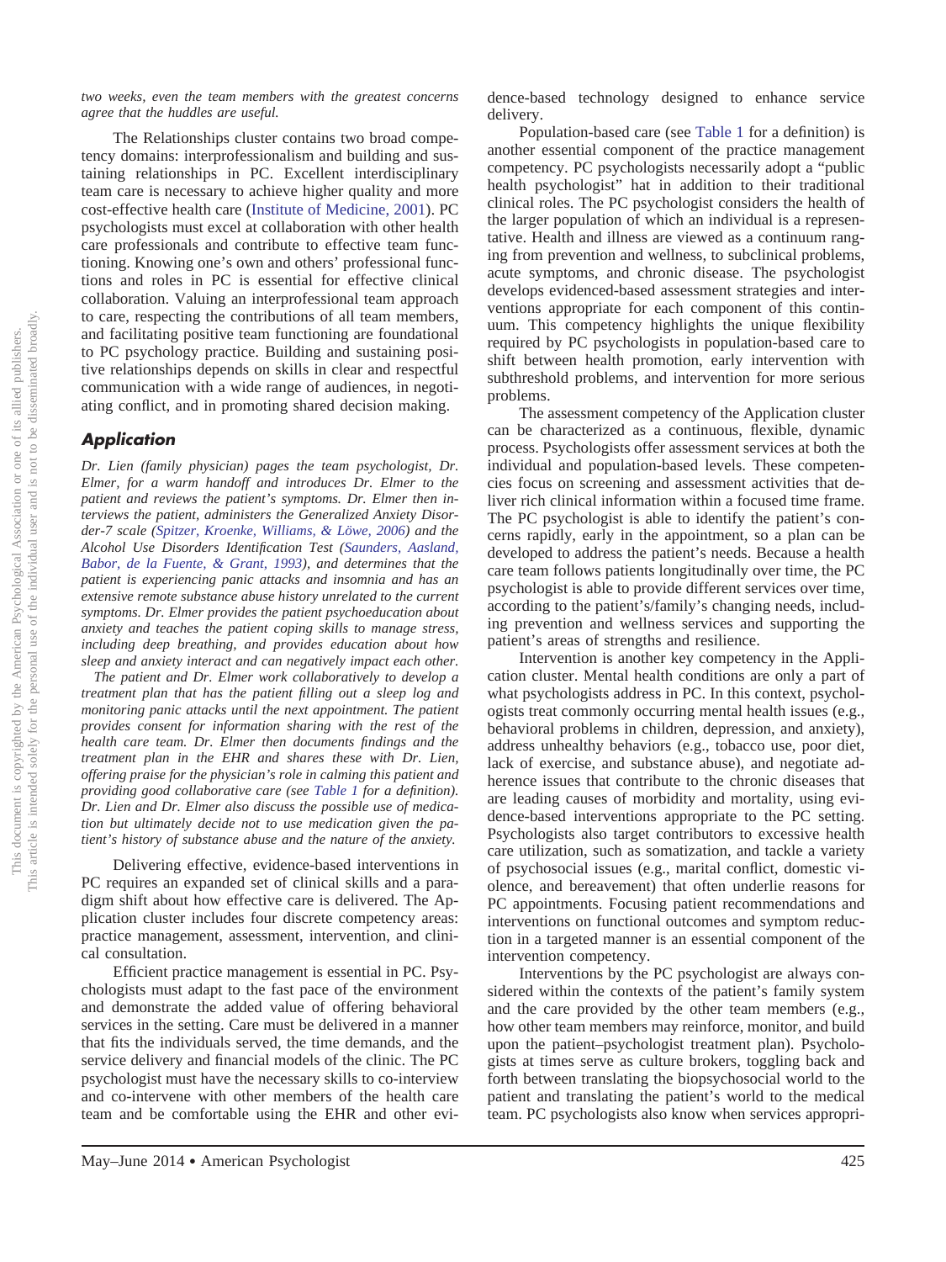The Relationships cluster contains two broad competency domains: interprofessionalism and building and sustaining relationships in PC. Excellent interdisciplinary team care is necessary to achieve higher quality and more cost-effective health care [\(Institute of Medicine, 2001\)](#page-20-22). PC psychologists must excel at collaboration with other health care professionals and contribute to effective team functioning. Knowing one's own and others' professional functions and roles in PC is essential for effective clinical collaboration. Valuing an interprofessional team approach to care, respecting the contributions of all team members, and facilitating positive team functioning are foundational to PC psychology practice. Building and sustaining positive relationships depends on skills in clear and respectful communication with a wide range of audiences, in negotiating conflict, and in promoting shared decision making.

#### *Application*

*Dr. Lien (family physician) pages the team psychologist, Dr. Elmer, for a warm handoff and introduces Dr. Elmer to the patient and reviews the patient's symptoms. Dr. Elmer then interviews the patient, administers the Generalized Anxiety Disorder-7 scale [\(Spitzer, Kroenke, Williams, & Löwe, 2006\)](#page-21-13) and the Alcohol Use Disorders Identification Test [\(Saunders, Aasland,](#page-21-14) [Babor, de la Fuente, & Grant, 1993\)](#page-21-14), and determines that the patient is experiencing panic attacks and insomnia and has an extensive remote substance abuse history unrelated to the current symptoms. Dr. Elmer provides the patient psychoeducation about anxiety and teaches the patient coping skills to manage stress, including deep breathing, and provides education about how sleep and anxiety interact and can negatively impact each other.*

*The patient and Dr. Elmer work collaboratively to develop a treatment plan that has the patient filling out a sleep log and monitoring panic attacks until the next appointment. The patient provides consent for information sharing with the rest of the health care team. Dr. Elmer then documents findings and the treatment plan in the EHR and shares these with Dr. Lien, offering praise for the physician's role in calming this patient and providing good collaborative care (see [Table 1](#page-3-0) for a definition). Dr. Lien and Dr. Elmer also discuss the possible use of medication but ultimately decide not to use medication given the patient's history of substance abuse and the nature of the anxiety.*

Delivering effective, evidence-based interventions in PC requires an expanded set of clinical skills and a paradigm shift about how effective care is delivered. The Application cluster includes four discrete competency areas: practice management, assessment, intervention, and clinical consultation.

Efficient practice management is essential in PC. Psychologists must adapt to the fast pace of the environment and demonstrate the added value of offering behavioral services in the setting. Care must be delivered in a manner that fits the individuals served, the time demands, and the service delivery and financial models of the clinic. The PC psychologist must have the necessary skills to co-interview and co-intervene with other members of the health care team and be comfortable using the EHR and other evidence-based technology designed to enhance service delivery.

Population-based care (see [Table 1](#page-3-0) for a definition) is another essential component of the practice management competency. PC psychologists necessarily adopt a "public health psychologist" hat in addition to their traditional clinical roles. The PC psychologist considers the health of the larger population of which an individual is a representative. Health and illness are viewed as a continuum ranging from prevention and wellness, to subclinical problems, acute symptoms, and chronic disease. The psychologist develops evidenced-based assessment strategies and interventions appropriate for each component of this continuum. This competency highlights the unique flexibility required by PC psychologists in population-based care to shift between health promotion, early intervention with subthreshold problems, and intervention for more serious problems.

The assessment competency of the Application cluster can be characterized as a continuous, flexible, dynamic process. Psychologists offer assessment services at both the individual and population-based levels. These competencies focus on screening and assessment activities that deliver rich clinical information within a focused time frame. The PC psychologist is able to identify the patient's concerns rapidly, early in the appointment, so a plan can be developed to address the patient's needs. Because a health care team follows patients longitudinally over time, the PC psychologist is able to provide different services over time, according to the patient's/family's changing needs, including prevention and wellness services and supporting the patient's areas of strengths and resilience.

Intervention is another key competency in the Application cluster. Mental health conditions are only a part of what psychologists address in PC. In this context, psychologists treat commonly occurring mental health issues (e.g., behavioral problems in children, depression, and anxiety), address unhealthy behaviors (e.g., tobacco use, poor diet, lack of exercise, and substance abuse), and negotiate adherence issues that contribute to the chronic diseases that are leading causes of morbidity and mortality, using evidence-based interventions appropriate to the PC setting. Psychologists also target contributors to excessive health care utilization, such as somatization, and tackle a variety of psychosocial issues (e.g., marital conflict, domestic violence, and bereavement) that often underlie reasons for PC appointments. Focusing patient recommendations and interventions on functional outcomes and symptom reduction in a targeted manner is an essential component of the intervention competency.

Interventions by the PC psychologist are always considered within the contexts of the patient's family system and the care provided by the other team members (e.g., how other team members may reinforce, monitor, and build upon the patient–psychologist treatment plan). Psychologists at times serve as culture brokers, toggling back and forth between translating the biopsychosocial world to the patient and translating the patient's world to the medical team. PC psychologists also know when services appropri-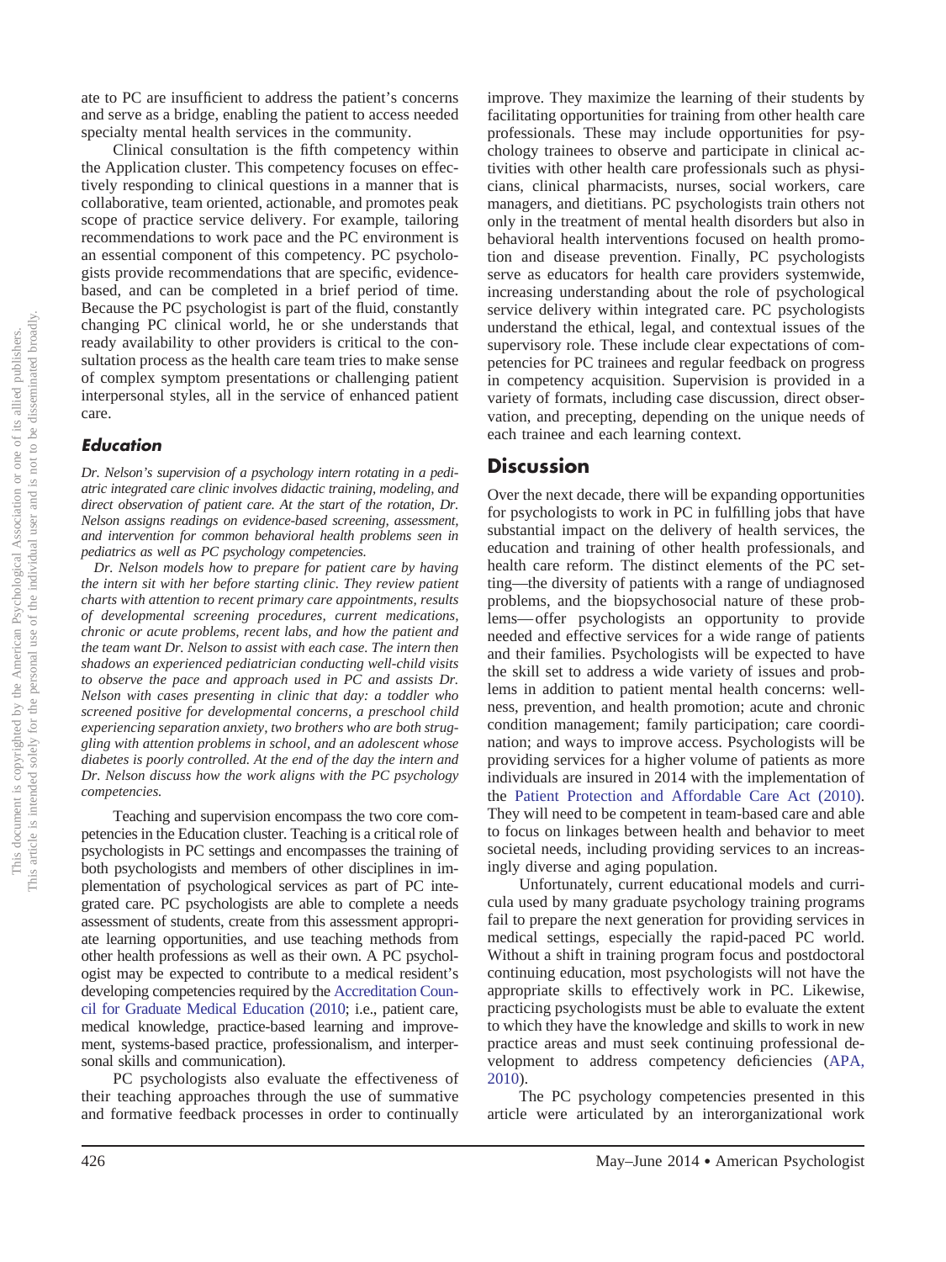Clinical consultation is the fifth competency within the Application cluster. This competency focuses on effectively responding to clinical questions in a manner that is collaborative, team oriented, actionable, and promotes peak scope of practice service delivery. For example, tailoring recommendations to work pace and the PC environment is an essential component of this competency. PC psychologists provide recommendations that are specific, evidencebased, and can be completed in a brief period of time. Because the PC psychologist is part of the fluid, constantly changing PC clinical world, he or she understands that ready availability to other providers is critical to the consultation process as the health care team tries to make sense of complex symptom presentations or challenging patient interpersonal styles, all in the service of enhanced patient care.

#### *Education*

*Dr. Nelson's supervision of a psychology intern rotating in a pediatric integrated care clinic involves didactic training, modeling, and direct observation of patient care. At the start of the rotation, Dr. Nelson assigns readings on evidence-based screening, assessment, and intervention for common behavioral health problems seen in pediatrics as well as PC psychology competencies.*

*Dr. Nelson models how to prepare for patient care by having the intern sit with her before starting clinic. They review patient charts with attention to recent primary care appointments, results of developmental screening procedures, current medications, chronic or acute problems, recent labs, and how the patient and the team want Dr. Nelson to assist with each case. The intern then shadows an experienced pediatrician conducting well-child visits to observe the pace and approach used in PC and assists Dr. Nelson with cases presenting in clinic that day: a toddler who screened positive for developmental concerns, a preschool child experiencing separation anxiety, two brothers who are both struggling with attention problems in school, and an adolescent whose diabetes is poorly controlled. At the end of the day the intern and Dr. Nelson discuss how the work aligns with the PC psychology competencies.*

Teaching and supervision encompass the two core competencies in the Education cluster. Teaching is a critical role of psychologists in PC settings and encompasses the training of both psychologists and members of other disciplines in implementation of psychological services as part of PC integrated care. PC psychologists are able to complete a needs assessment of students, create from this assessment appropriate learning opportunities, and use teaching methods from other health professions as well as their own. A PC psychologist may be expected to contribute to a medical resident's developing competencies required by the [Accreditation Coun](#page-19-14)[cil for Graduate Medical Education \(2010;](#page-19-14) i.e., patient care, medical knowledge, practice-based learning and improvement, systems-based practice, professionalism, and interpersonal skills and communication).

PC psychologists also evaluate the effectiveness of their teaching approaches through the use of summative and formative feedback processes in order to continually

improve. They maximize the learning of their students by facilitating opportunities for training from other health care professionals. These may include opportunities for psychology trainees to observe and participate in clinical activities with other health care professionals such as physicians, clinical pharmacists, nurses, social workers, care managers, and dietitians. PC psychologists train others not only in the treatment of mental health disorders but also in behavioral health interventions focused on health promotion and disease prevention. Finally, PC psychologists serve as educators for health care providers systemwide, increasing understanding about the role of psychological service delivery within integrated care. PC psychologists understand the ethical, legal, and contextual issues of the supervisory role. These include clear expectations of competencies for PC trainees and regular feedback on progress in competency acquisition. Supervision is provided in a variety of formats, including case discussion, direct observation, and precepting, depending on the unique needs of each trainee and each learning context.

# **Discussion**

Over the next decade, there will be expanding opportunities for psychologists to work in PC in fulfilling jobs that have substantial impact on the delivery of health services, the education and training of other health professionals, and health care reform. The distinct elements of the PC setting—the diversity of patients with a range of undiagnosed problems, and the biopsychosocial nature of these problems— offer psychologists an opportunity to provide needed and effective services for a wide range of patients and their families. Psychologists will be expected to have the skill set to address a wide variety of issues and problems in addition to patient mental health concerns: wellness, prevention, and health promotion; acute and chronic condition management; family participation; care coordination; and ways to improve access. Psychologists will be providing services for a higher volume of patients as more individuals are insured in 2014 with the implementation of the [Patient Protection and Affordable Care Act \(2010\).](#page-20-39) They will need to be competent in team-based care and able to focus on linkages between health and behavior to meet societal needs, including providing services to an increasingly diverse and aging population.

Unfortunately, current educational models and curricula used by many graduate psychology training programs fail to prepare the next generation for providing services in medical settings, especially the rapid-paced PC world. Without a shift in training program focus and postdoctoral continuing education, most psychologists will not have the appropriate skills to effectively work in PC. Likewise, practicing psychologists must be able to evaluate the extent to which they have the knowledge and skills to work in new practice areas and must seek continuing professional development to address competency deficiencies [\(APA,](#page-19-15) [2010\)](#page-19-15).

The PC psychology competencies presented in this article were articulated by an interorganizational work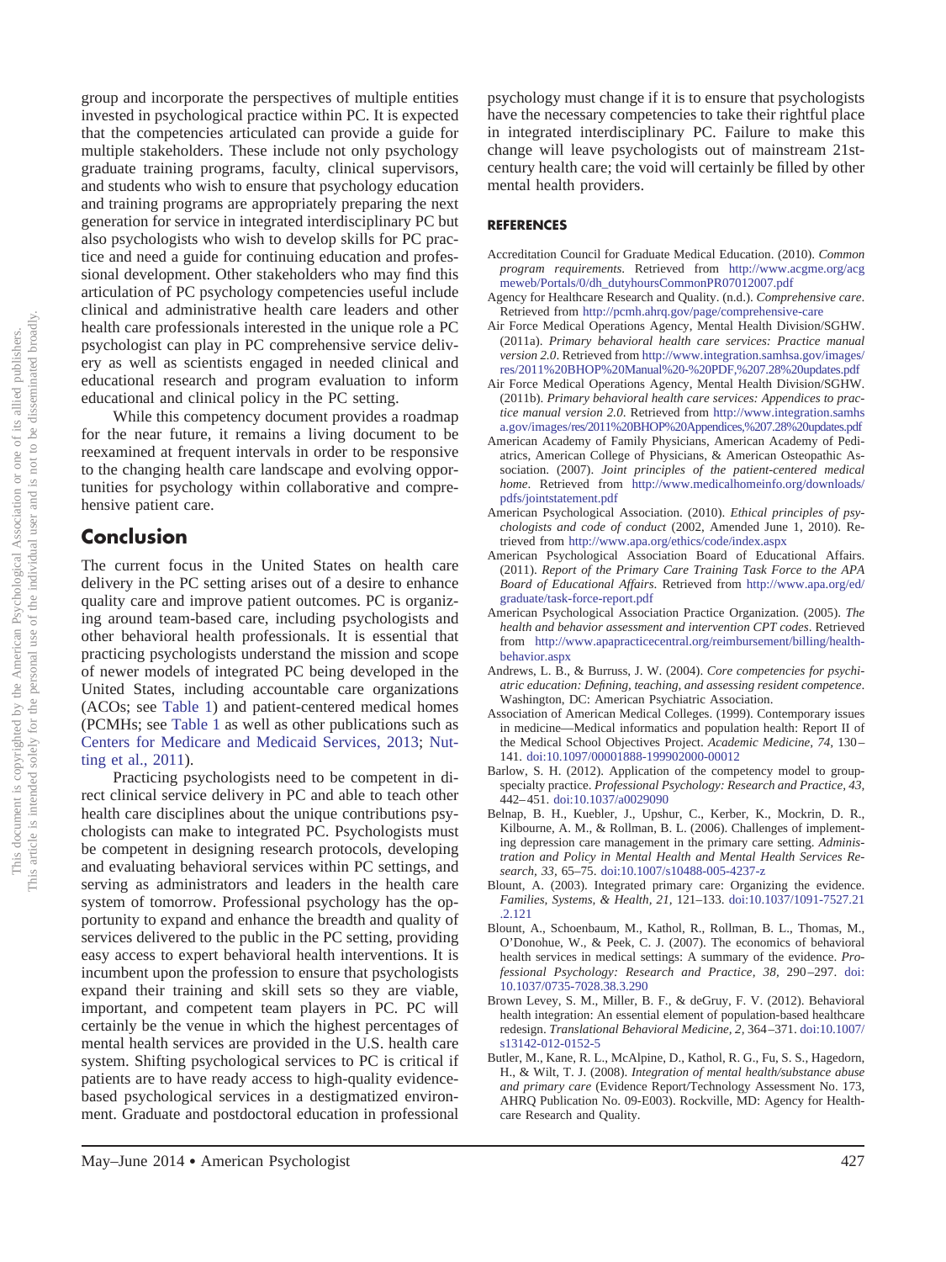group and incorporate the perspectives of multiple entities invested in psychological practice within PC. It is expected that the competencies articulated can provide a guide for multiple stakeholders. These include not only psychology graduate training programs, faculty, clinical supervisors, and students who wish to ensure that psychology education and training programs are appropriately preparing the next generation for service in integrated interdisciplinary PC but also psychologists who wish to develop skills for PC practice and need a guide for continuing education and professional development. Other stakeholders who may find this articulation of PC psychology competencies useful include clinical and administrative health care leaders and other health care professionals interested in the unique role a PC psychologist can play in PC comprehensive service delivery as well as scientists engaged in needed clinical and educational research and program evaluation to inform educational and clinical policy in the PC setting.

While this competency document provides a roadmap for the near future, it remains a living document to be reexamined at frequent intervals in order to be responsive to the changing health care landscape and evolving opportunities for psychology within collaborative and comprehensive patient care.

# **Conclusion**

The current focus in the United States on health care delivery in the PC setting arises out of a desire to enhance quality care and improve patient outcomes. PC is organizing around team-based care, including psychologists and other behavioral health professionals. It is essential that practicing psychologists understand the mission and scope of newer models of integrated PC being developed in the United States, including accountable care organizations (ACOs; see [Table 1\)](#page-3-0) and patient-centered medical homes (PCMHs; see [Table 1](#page-3-0) as well as other publications such as [Centers for Medicare and Medicaid Services, 2013;](#page-20-40) [Nut](#page-20-41)[ting et al., 2011\)](#page-20-41).

Practicing psychologists need to be competent in direct clinical service delivery in PC and able to teach other health care disciplines about the unique contributions psychologists can make to integrated PC. Psychologists must be competent in designing research protocols, developing and evaluating behavioral services within PC settings, and serving as administrators and leaders in the health care system of tomorrow. Professional psychology has the opportunity to expand and enhance the breadth and quality of services delivered to the public in the PC setting, providing easy access to expert behavioral health interventions. It is incumbent upon the profession to ensure that psychologists expand their training and skill sets so they are viable, important, and competent team players in PC. PC will certainly be the venue in which the highest percentages of mental health services are provided in the U.S. health care system. Shifting psychological services to PC is critical if patients are to have ready access to high-quality evidencebased psychological services in a destigmatized environment. Graduate and postdoctoral education in professional

psychology must change if it is to ensure that psychologists have the necessary competencies to take their rightful place in integrated interdisciplinary PC. Failure to make this change will leave psychologists out of mainstream 21stcentury health care; the void will certainly be filled by other mental health providers.

#### **REFERENCES**

- <span id="page-19-14"></span>Accreditation Council for Graduate Medical Education. (2010). *Common program requirements*. Retrieved from [http://www.acgme.org/acg](www.acgme.org/acgmeweb/Portals/0/dh_dutyhoursCommonPR07012007.pdf) [meweb/Portals/0/dh\\_dutyhoursCommonPR07012007.pdf](www.acgme.org/acgmeweb/Portals/0/dh_dutyhoursCommonPR07012007.pdf)
- <span id="page-19-3"></span>Agency for Healthcare Research and Quality. (n.d.). *Comprehensive care*. Retrieved from [http://pcmh.ahrq.gov/page/comprehensive-care](pcmh.ahrq.gov/page/comprehensive-care)
- <span id="page-19-11"></span>Air Force Medical Operations Agency, Mental Health Division/SGHW. (2011a). *Primary behavioral health care services: Practice manual version 2.0*. Retrieved from [http://www.integration.samhsa.gov/images/](www.integration.samhsa.gov/images/res/2011%20BHOP%20Manual%20-%20PDF,%207.28%20updates.pdf) [res/2011%20BHOP%20Manual%20-%20PDF,%207.28%20updates.pdf](www.integration.samhsa.gov/images/res/2011%20BHOP%20Manual%20-%20PDF,%207.28%20updates.pdf)
- <span id="page-19-12"></span>Air Force Medical Operations Agency, Mental Health Division/SGHW. (2011b). *Primary behavioral health care services: Appendices to practice manual version 2.0*. Retrieved from [http://www.integration.samhs](www.integration.samhsa.gov/images/res/2011%20BHOP%20Appendices,%207.28%20updates.pdf) [a.gov/images/res/2011%20BHOP%20Appendices,%207.28%20updates.pdf](www.integration.samhsa.gov/images/res/2011%20BHOP%20Appendices,%207.28%20updates.pdf)
- <span id="page-19-9"></span>American Academy of Family Physicians, American Academy of Pediatrics, American College of Physicians, & American Osteopathic Association. (2007). *Joint principles of the patient-centered medical home*. Retrieved from [http://www.medicalhomeinfo.org/downloads/](www.medicalhomeinfo.org/downloads/pdfs/jointstatement.pdf) [pdfs/jointstatement.pdf](www.medicalhomeinfo.org/downloads/pdfs/jointstatement.pdf)
- <span id="page-19-15"></span>American Psychological Association. (2010). *Ethical principles of psychologists and code of conduct* (2002, Amended June 1, 2010). Retrieved from [http://www.apa.org/ethics/code/index.aspx](www.apa.org/ethics/code/index.aspx)
- <span id="page-19-13"></span>American Psychological Association Board of Educational Affairs. (2011). *Report of the Primary Care Training Task Force to the APA Board of Educational Affairs*. Retrieved from [http://www.apa.org/ed/](www.apa.org/ed/graduate/task-force-report.pdf) [graduate/task-force-report.pdf](www.apa.org/ed/graduate/task-force-report.pdf)
- <span id="page-19-5"></span>American Psychological Association Practice Organization. (2005). *The health and behavior assessment and intervention CPT codes*. Retrieved from [http://www.apapracticecentral.org/reimbursement/billing/health](www.apapracticecentral.org/reimbursement/billing/health-behavior.aspx)[behavior.aspx](www.apapracticecentral.org/reimbursement/billing/health-behavior.aspx)
- <span id="page-19-8"></span>Andrews, L. B., & Burruss, J. W. (2004). *Core competencies for psychiatric education: Defining, teaching, and assessing resident competence*. Washington, DC: American Psychiatric Association.
- <span id="page-19-10"></span>Association of American Medical Colleges. (1999). Contemporary issues in medicine—Medical informatics and population health: Report II of the Medical School Objectives Project. *Academic Medicine, 74,* 130 – 141. [doi:10.1097/00001888-199902000-00012](http://dx.doi.org/10.1097/00001888-199902000-00012)
- <span id="page-19-7"></span>Barlow, S. H. (2012). Application of the competency model to groupspecialty practice. *Professional Psychology: Research and Practice, 43,* 442– 451. [doi:10.1037/a0029090](http://dx.doi.org/10.1037/a0029090)
- <span id="page-19-2"></span>Belnap, B. H., Kuebler, J., Upshur, C., Kerber, K., Mockrin, D. R., Kilbourne, A. M., & Rollman, B. L. (2006). Challenges of implementing depression care management in the primary care setting. *Administration and Policy in Mental Health and Mental Health Services Research, 33,* 65–75. [doi:10.1007/s10488-005-4237-z](http://dx.doi.org/10.1007/s10488-005-4237-z)
- <span id="page-19-4"></span>Blount, A. (2003). Integrated primary care: Organizing the evidence. *Families, Systems, & Health, 21,* 121–133. [doi:10.1037/1091-7527.21](http://dx.doi.org/10.1037/1091-7527.21.2.121) [.2.121](http://dx.doi.org/10.1037/1091-7527.21.2.121)
- <span id="page-19-6"></span>Blount, A., Schoenbaum, M., Kathol, R., Rollman, B. L., Thomas, M., O'Donohue, W., & Peek, C. J. (2007). The economics of behavioral health services in medical settings: A summary of the evidence. *Professional Psychology: Research and Practice, 38,* 290 –297. [doi:](http://dx.doi.org/10.1037/0735-7028.38.3.290) [10.1037/0735-7028.38.3.290](http://dx.doi.org/10.1037/0735-7028.38.3.290)
- <span id="page-19-1"></span>Brown Levey, S. M., Miller, B. F., & deGruy, F. V. (2012). Behavioral health integration: An essential element of population-based healthcare redesign. *Translational Behavioral Medicine, 2,* 364 –371. [doi:10.1007/](http://dx.doi.org/10.1007/s13142-012-0152-5) [s13142-012-0152-5](http://dx.doi.org/10.1007/s13142-012-0152-5)
- <span id="page-19-0"></span>Butler, M., Kane, R. L., McAlpine, D., Kathol, R. G., Fu, S. S., Hagedorn, H., & Wilt, T. J. (2008). *Integration of mental health/substance abuse and primary care* (Evidence Report/Technology Assessment No. 173, AHRQ Publication No. 09-E003). Rockville, MD: Agency for Healthcare Research and Quality.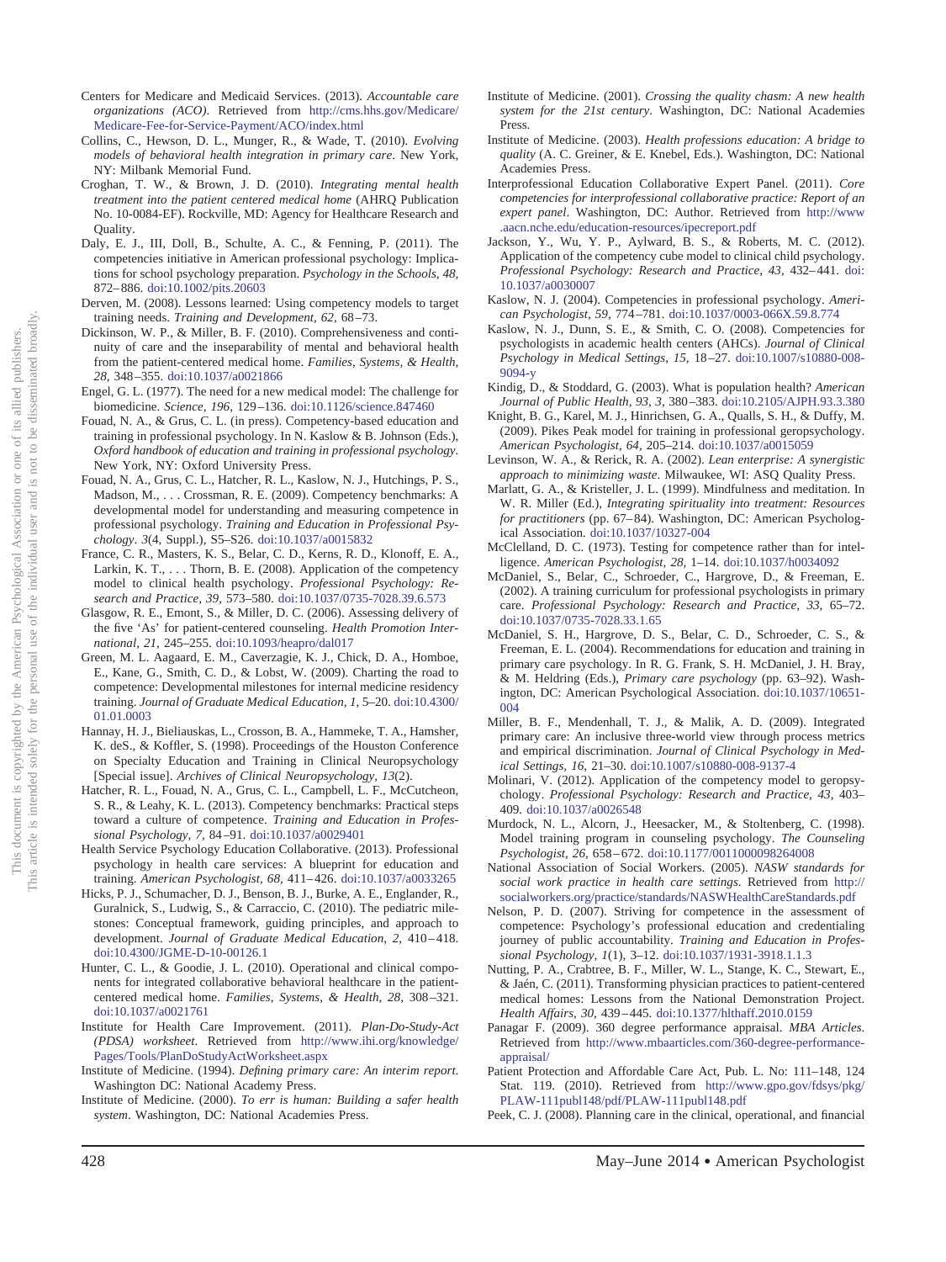- <span id="page-20-40"></span>Centers for Medicare and Medicaid Services. (2013). *Accountable care organizations (ACO)*. Retrieved from [http://cms.hhs.gov/Medicare/](cms.hhs.gov/Medicare/Medicare-Fee-for-Service-Payment/ACO/index.html) [Medicare-Fee-for-Service-Payment/ACO/index.html](cms.hhs.gov/Medicare/Medicare-Fee-for-Service-Payment/ACO/index.html)
- <span id="page-20-3"></span>Collins, C., Hewson, D. L., Munger, R., & Wade, T. (2010). *Evolving models of behavioral health integration in primary care*. New York, NY: Milbank Memorial Fund.
- <span id="page-20-2"></span>Croghan, T. W., & Brown, J. D. (2010). *Integrating mental health treatment into the patient centered medical home* (AHRQ Publication No. 10-0084-EF). Rockville, MD: Agency for Healthcare Research and Quality.
- <span id="page-20-17"></span>Daly, E. J., III, Doll, B., Schulte, A. C., & Fenning, P. (2011). The competencies initiative in American professional psychology: Implications for school psychology preparation. *Psychology in the Schools, 48,* 872– 886. [doi:10.1002/pits.20603](http://dx.doi.org/10.1002/pits.20603)
- <span id="page-20-4"></span>Derven, M. (2008). Lessons learned: Using competency models to target training needs. *Training and Development*, 62, 68-73.
- <span id="page-20-1"></span>Dickinson, W. P., & Miller, B. F. (2010). Comprehensiveness and continuity of care and the inseparability of mental and behavioral health from the patient-centered medical home. *Families, Systems, & Health, 28,* 348 –355. [doi:10.1037/a0021866](http://dx.doi.org/10.1037/a0021866)
- <span id="page-20-0"></span>Engel, G. L. (1977). The need for a new medical model: The challenge for biomedicine. *Science, 196,* 129 –136. [doi:10.1126/science.847460](http://dx.doi.org/10.1126/science.847460)
- <span id="page-20-7"></span>Fouad, N. A., & Grus, C. L. (in press). Competency-based education and training in professional psychology. In N. Kaslow & B. Johnson (Eds.), *Oxford handbook of education and training in professional psychology*. New York, NY: Oxford University Press.
- <span id="page-20-8"></span>Fouad, N. A., Grus, C. L., Hatcher, R. L., Kaslow, N. J., Hutchings, P. S., Madson, M.,... Crossman, R. E. (2009). Competency benchmarks: A developmental model for understanding and measuring competence in professional psychology. *Training and Education in Professional Psychology*. *3*(4, Suppl.), S5–S26. [doi:10.1037/a0015832](http://dx.doi.org/10.1037/a0015832)
- <span id="page-20-14"></span>France, C. R., Masters, K. S., Belar, C. D., Kerns, R. D., Klonoff, E. A., Larkin, K. T.,... Thorn, B. E. (2008). Application of the competency model to clinical health psychology. *Professional Psychology: Research and Practice, 39,* 573–580. [doi:10.1037/0735-7028.39.6.573](http://dx.doi.org/10.1037/0735-7028.39.6.573)
- <span id="page-20-35"></span>Glasgow, R. E., Emont, S., & Miller, D. C. (2006). Assessing delivery of the five 'As' for patient-centered counseling. *Health Promotion International, 21,* 245–255. [doi:10.1093/heapro/dal017](http://dx.doi.org/10.1093/heapro/dal017)
- <span id="page-20-18"></span>Green, M. L. Aagaard, E. M., Caverzagie, K. J., Chick, D. A., Homboe, E., Kane, G., Smith, C. D., & Lobst, W. (2009). Charting the road to competence: Developmental milestones for internal medicine residency training. *Journal of Graduate Medical Education, 1,* 5–20. [doi:10.4300/](http://dx.doi.org/10.4300/01.01.0003) [01.01.0003](http://dx.doi.org/10.4300/01.01.0003)
- <span id="page-20-15"></span>Hannay, H. J., Bieliauskas, L., Crosson, B. A., Hammeke, T. A., Hamsher, K. deS., & Koffler, S. (1998). Proceedings of the Houston Conference on Specialty Education and Training in Clinical Neuropsychology [Special issue]. *Archives of Clinical Neuropsychology, 13*(2).
- <span id="page-20-9"></span>Hatcher, R. L., Fouad, N. A., Grus, C. L., Campbell, L. F., McCutcheon, S. R., & Leahy, K. L. (2013). Competency benchmarks: Practical steps toward a culture of competence. *Training and Education in Professional Psychology, 7,* 84 –91. [doi:10.1037/a0029401](http://dx.doi.org/10.1037/a0029401)
- <span id="page-20-10"></span>Health Service Psychology Education Collaborative. (2013). Professional psychology in health care services: A blueprint for education and training. *American Psychologist, 68,* 411– 426. [doi:10.1037/a0033265](http://dx.doi.org/10.1037/a0033265)
- <span id="page-20-19"></span>Hicks, P. J., Schumacher, D. J., Benson, B. J., Burke, A. E., Englander, R., Guralnick, S., Ludwig, S., & Carraccio, C. (2010). The pediatric milestones: Conceptual framework, guiding principles, and approach to development. *Journal of Graduate Medical Education*, 2, 410-418. [doi:10.4300/JGME-D-10-00126.1](http://dx.doi.org/10.4300/JGME-D-10-00126.1)
- <span id="page-20-27"></span>Hunter, C. L., & Goodie, J. L. (2010). Operational and clinical components for integrated collaborative behavioral healthcare in the patientcentered medical home. *Families, Systems, & Health, 28,* 308 –321. [doi:10.1037/a0021761](http://dx.doi.org/10.1037/a0021761)
- <span id="page-20-32"></span>Institute for Health Care Improvement. (2011). *Plan-Do-Study-Act (PDSA) worksheet*. Retrieved from [http://www.ihi.org/knowledge/](www.ihi.org/knowledge/Pages/Tools/PlanDoStudyActWorksheet.aspx) [Pages/Tools/PlanDoStudyActWorksheet.aspx](www.ihi.org/knowledge/Pages/Tools/PlanDoStudyActWorksheet.aspx)
- <span id="page-20-28"></span>Institute of Medicine. (1994). *Defining primary care: An interim report*. Washington DC: National Academy Press.
- <span id="page-20-21"></span>Institute of Medicine. (2000). *To err is human: Building a safer health system*. Washington, DC: National Academies Press.
- <span id="page-20-22"></span>Institute of Medicine. (2001). *Crossing the quality chasm: A new health system for the 21st century*. Washington, DC: National Academies Press.
- <span id="page-20-23"></span>Institute of Medicine. (2003). *Health professions education: A bridge to quality* (A. C. Greiner, & E. Knebel, Eds.). Washington, DC: National Academies Press.
- <span id="page-20-24"></span>Interprofessional Education Collaborative Expert Panel. (2011). *Core competencies for interprofessional collaborative practice: Report of an expert panel*. Washington, DC: Author. Retrieved from [http://www](www.aacn.nche.edu/education-resources/ipecreport.pdf) [.aacn.nche.edu/education-resources/ipecreport.pdf](www.aacn.nche.edu/education-resources/ipecreport.pdf)
- <span id="page-20-11"></span>Jackson, Y., Wu, Y. P., Aylward, B. S., & Roberts, M. C. (2012). Application of the competency cube model to clinical child psychology. *Professional Psychology: Research and Practice, 43,* 432– 441. [doi:](http://dx.doi.org/10.1037/a0030007) [10.1037/a0030007](http://dx.doi.org/10.1037/a0030007)
- <span id="page-20-30"></span>Kaslow, N. J. (2004). Competencies in professional psychology. *American Psychologist, 59,* 774 –781. [doi:10.1037/0003-066X.59.8.774](http://dx.doi.org/10.1037/0003-066X.59.8.774)
- <span id="page-20-29"></span>Kaslow, N. J., Dunn, S. E., & Smith, C. O. (2008). Competencies for psychologists in academic health centers (AHCs). *Journal of Clinical Psychology in Medical Settings, 15,* 18 –27. [doi:10.1007/s10880-008-](http://dx.doi.org/10.1007/s10880-008-9094-y) [9094-y](http://dx.doi.org/10.1007/s10880-008-9094-y)
- <span id="page-20-31"></span>Kindig, D., & Stoddard, G. (2003). What is population health? *American Journal of Public Health, 93, 3*, 380 –383. [doi:10.2105/AJPH.93.3.380](http://dx.doi.org/10.2105/AJPH.93.3.380)
- <span id="page-20-12"></span>Knight, B. G., Karel, M. J., Hinrichsen, G. A., Qualls, S. H., & Duffy, M. (2009). Pikes Peak model for training in professional geropsychology. *American Psychologist, 64,* 205–214. [doi:10.1037/a0015059](http://dx.doi.org/10.1037/a0015059)
- <span id="page-20-33"></span>Levinson, W. A., & Rerick, R. A. (2002). *Lean enterprise: A synergistic approach to minimizing waste*. Milwaukee, WI: ASQ Quality Press.
- <span id="page-20-38"></span>Marlatt, G. A., & Kristeller, J. L. (1999). Mindfulness and meditation. In W. R. Miller (Ed.), *Integrating spirituality into treatment: Resources for practitioners* (pp. 67-84). Washington, DC: American Psychological Association. [doi:10.1037/10327-004](http://dx.doi.org/10.1037/10327-004)
- <span id="page-20-5"></span>McClelland, D. C. (1973). Testing for competence rather than for intelligence. *American Psychologist, 28,* 1–14. [doi:10.1037/h0034092](http://dx.doi.org/10.1037/h0034092)
- <span id="page-20-25"></span>McDaniel, S., Belar, C., Schroeder, C., Hargrove, D., & Freeman, E. (2002). A training curriculum for professional psychologists in primary care. *Professional Psychology: Research and Practice, 33,* 65–72. [doi:10.1037/0735-7028.33.1.65](http://dx.doi.org/10.1037/0735-7028.33.1.65)
- <span id="page-20-26"></span>McDaniel, S. H., Hargrove, D. S., Belar, C. D., Schroeder, C. S., & Freeman, E. L. (2004). Recommendations for education and training in primary care psychology. In R. G. Frank, S. H. McDaniel, J. H. Bray, & M. Heldring (Eds.), *Primary care psychology* (pp. 63–92). Washington, DC: American Psychological Association. [doi:10.1037/10651-](http://dx.doi.org/10.1037/10651-004) [004](http://dx.doi.org/10.1037/10651-004)
- <span id="page-20-36"></span>Miller, B. F., Mendenhall, T. J., & Malik, A. D. (2009). Integrated primary care: An inclusive three-world view through process metrics and empirical discrimination. *Journal of Clinical Psychology in Medical Settings, 16,* 21–30. [doi:10.1007/s10880-008-9137-4](http://dx.doi.org/10.1007/s10880-008-9137-4)
- <span id="page-20-13"></span>Molinari, V. (2012). Application of the competency model to geropsychology. *Professional Psychology: Research and Practice, 43,* 403– 409. [doi:10.1037/a0026548](http://dx.doi.org/10.1037/a0026548)
- <span id="page-20-16"></span>Murdock, N. L., Alcorn, J., Heesacker, M., & Stoltenberg, C. (1998). Model training program in counseling psychology. *The Counseling Psychologist, 26,* 658 – 672. [doi:10.1177/0011000098264008](http://dx.doi.org/10.1177/0011000098264008)
- <span id="page-20-20"></span>National Association of Social Workers. (2005). *NASW standards for social work practice in health care settings*. Retrieved from [http://](socialworkers.org/practice/standards/NASWHealthCareStandards.pdf) <socialworkers.org/practice/standards/NASWHealthCareStandards.pdf>
- <span id="page-20-6"></span>Nelson, P. D. (2007). Striving for competence in the assessment of competence: Psychology's professional education and credentialing journey of public accountability. *Training and Education in Professional Psychology, 1*(1), 3–12. [doi:10.1037/1931-3918.1.1.3](http://dx.doi.org/10.1037/1931-3918.1.1.3)
- <span id="page-20-41"></span>Nutting, P. A., Crabtree, B. F., Miller, W. L., Stange, K. C., Stewart, E., & Jaén, C. (2011). Transforming physician practices to patient-centered medical homes: Lessons from the National Demonstration Project. *Health Affairs, 30,* 439 – 445. [doi:10.1377/hlthaff.2010.0159](http://dx.doi.org/10.1377/hlthaff.2010.0159)
- <span id="page-20-34"></span>Panagar F. (2009). 360 degree performance appraisal. *MBA Articles*. Retrieved from [http://www.mbaarticles.com/360-degree-performance](www.mbaarticles.com/360-degree-performance-appraisal/)[appraisal/](www.mbaarticles.com/360-degree-performance-appraisal/)
- <span id="page-20-39"></span>Patient Protection and Affordable Care Act, Pub. L. No: 111–148, 124 Stat. 119. (2010). Retrieved from [http://www.gpo.gov/fdsys/pkg/](www.gpo.gov/fdsys/pkg/PLAW-111publ148/pdf/PLAW-111publ148.pdf) [PLAW-111publ148/pdf/PLAW-111publ148.pdf](www.gpo.gov/fdsys/pkg/PLAW-111publ148/pdf/PLAW-111publ148.pdf)
- <span id="page-20-37"></span>Peek, C. J. (2008). Planning care in the clinical, operational, and financial